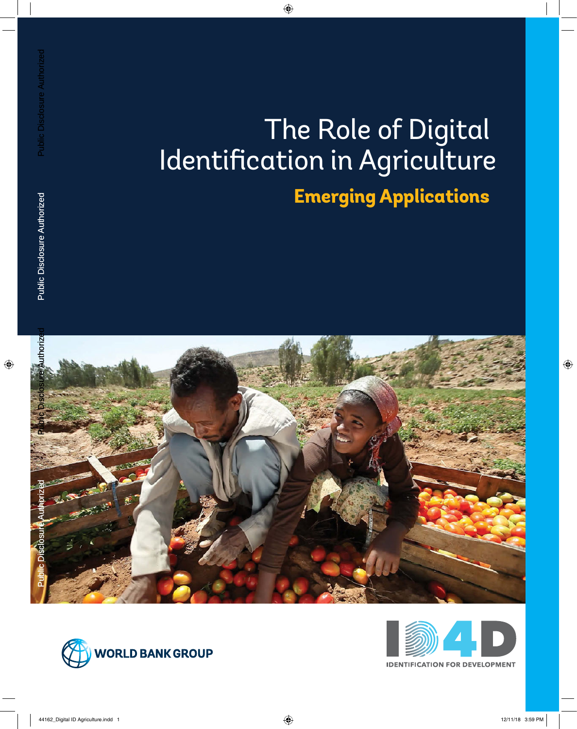# The Role of Digital Identification in Agriculture **Emerging Applications**





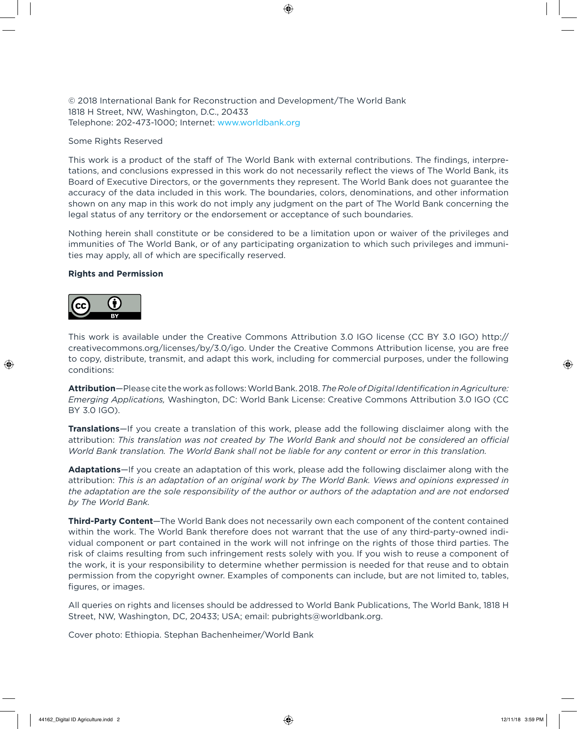#### © 2018 International Bank for Reconstruction and Development/The World Bank 1818 H Street, NW, Washington, D.C., 20433 Telephone: 202-473-1000; Internet: [www.worldbank.org](http://www.worldbank.org)

#### Some Rights Reserved

This work is a product of the staff of The World Bank with external contributions. The findings, interpretations, and conclusions expressed in this work do not necessarily reflect the views of The World Bank, its Board of Executive Directors, or the governments they represent. The World Bank does not guarantee the accuracy of the data included in this work. The boundaries, colors, denominations, and other information shown on any map in this work do not imply any judgment on the part of The World Bank concerning the legal status of any territory or the endorsement or acceptance of such boundaries.

Nothing herein shall constitute or be considered to be a limitation upon or waiver of the privileges and immunities of The World Bank, or of any participating organization to which such privileges and immunities may apply, all of which are specifically reserved.

#### **Rights and Permission**



This work is available under the Creative Commons Attribution 3.0 IGO license (CC BY 3.0 IGO) http:// creativecommons.org/licenses/by/3.0/igo. Under the Creative Commons Attribution license, you are free to copy, distribute, transmit, and adapt this work, including for commercial purposes, under the following conditions:

**Attribution**—Please cite the work as follows: World Bank. 2018. *The Role of Digital Identification in Agriculture: Emerging Applications,* Washington, DC: World Bank License: Creative Commons Attribution 3.0 IGO (CC BY 3.0 IGO).

**Translations**—If you create a translation of this work, please add the following disclaimer along with the attribution: *This translation was not created by The World Bank and should not be considered an official World Bank translation. The World Bank shall not be liable for any content or error in this translation.*

**Adaptations**—If you create an adaptation of this work, please add the following disclaimer along with the attribution: *This is an adaptation of an original work by The World Bank. Views and opinions expressed in the adaptation are the sole responsibility of the author or authors of the adaptation and are not endorsed by The World Bank.*

**Third-Party Content**—The World Bank does not necessarily own each component of the content contained within the work. The World Bank therefore does not warrant that the use of any third-party-owned individual component or part contained in the work will not infringe on the rights of those third parties. The risk of claims resulting from such infringement rests solely with you. If you wish to reuse a component of the work, it is your responsibility to determine whether permission is needed for that reuse and to obtain permission from the copyright owner. Examples of components can include, but are not limited to, tables, figures, or images.

All queries on rights and licenses should be addressed to World Bank Publications, The World Bank, 1818 H Street, NW, Washington, DC, 20433; USA; email: pubrights@worldbank.org.

Cover photo: Ethiopia. Stephan Bachenheimer/World Bank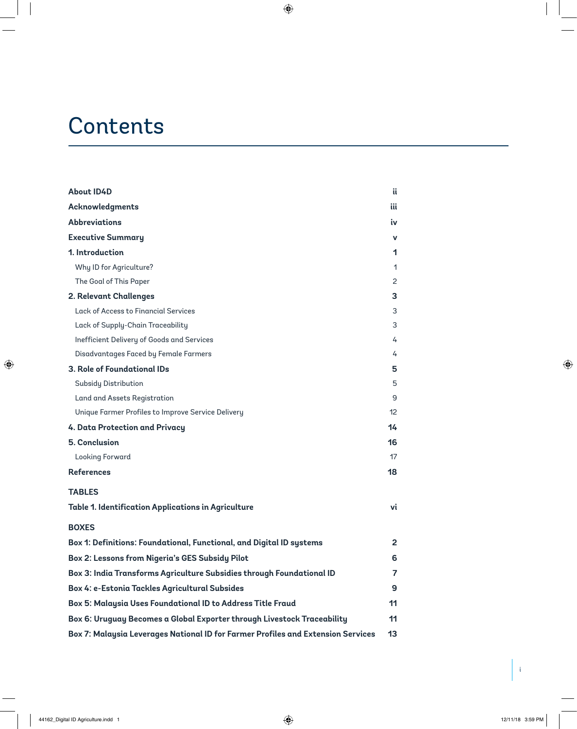## **Contents**

| <b>About ID4D</b>                                                                | üι           |  |
|----------------------------------------------------------------------------------|--------------|--|
| Acknowledgments                                                                  | iii          |  |
| <b>Abbreviations</b>                                                             | iv           |  |
| <b>Executive Summary</b>                                                         | v            |  |
| 1. Introduction                                                                  | 1            |  |
| Why ID for Agriculture?                                                          | 1            |  |
| The Goal of This Paper                                                           | 2            |  |
| 2. Relevant Challenges                                                           | 3            |  |
| Lack of Access to Financial Services                                             | 3            |  |
| Lack of Supply-Chain Traceability                                                | 3            |  |
| Inefficient Delivery of Goods and Services                                       | 4            |  |
| Disadvantages Faced by Female Farmers                                            | 4            |  |
| 3. Role of Foundational IDs                                                      | 5            |  |
| Subsidy Distribution                                                             | 5            |  |
| Land and Assets Registration                                                     | 9            |  |
| Unique Farmer Profiles to Improve Service Delivery                               | 12           |  |
| 4. Data Protection and Privacy                                                   | 14           |  |
| <b>5. Conclusion</b>                                                             | 16           |  |
| <b>Looking Forward</b>                                                           | 17           |  |
| <b>References</b>                                                                | 18           |  |
| <b>TABLES</b>                                                                    |              |  |
| Table 1. Identification Applications in Agriculture                              | νi           |  |
| <b>BOXES</b>                                                                     |              |  |
| Box 1: Definitions: Foundational, Functional, and Digital ID systems             | $\mathbf{2}$ |  |
| Box 2: Lessons from Nigeria's GES Subsidy Pilot                                  | 6            |  |
| Box 3: India Transforms Agriculture Subsidies through Foundational ID            | 7            |  |
| Box 4: e-Estonia Tackles Agricultural Subsides                                   | 9            |  |
| Box 5: Malaysia Uses Foundational ID to Address Title Fraud                      | 11           |  |
| Box 6: Uruguay Becomes a Global Exporter through Livestock Traceability          | 11           |  |
| Box 7: Malaysia Leverages National ID for Farmer Profiles and Extension Services |              |  |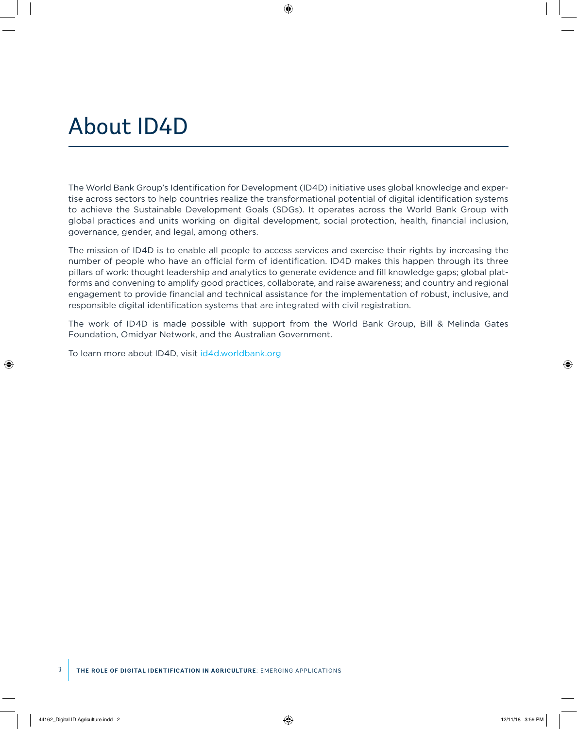## <span id="page-3-0"></span>About ID4D

The World Bank Group's Identification for Development (ID4D) initiative uses global knowledge and expertise across sectors to help countries realize the transformational potential of digital identification systems to achieve the Sustainable Development Goals (SDGs). It operates across the World Bank Group with global practices and units working on digital development, social protection, health, financial inclusion, governance, gender, and legal, among others.

The mission of ID4D is to enable all people to access services and exercise their rights by increasing the number of people who have an official form of identification. ID4D makes this happen through its three pillars of work: thought leadership and analytics to generate evidence and fill knowledge gaps; global platforms and convening to amplify good practices, collaborate, and raise awareness; and country and regional engagement to provide financial and technical assistance for the implementation of robust, inclusive, and responsible digital identification systems that are integrated with civil registration.

The work of ID4D is made possible with support from the World Bank Group, Bill & Melinda Gates Foundation, Omidyar Network, and the Australian Government.

To learn more about ID4D, visit id4d.worldban[k.org](http://www.worldbank.org/ID4D)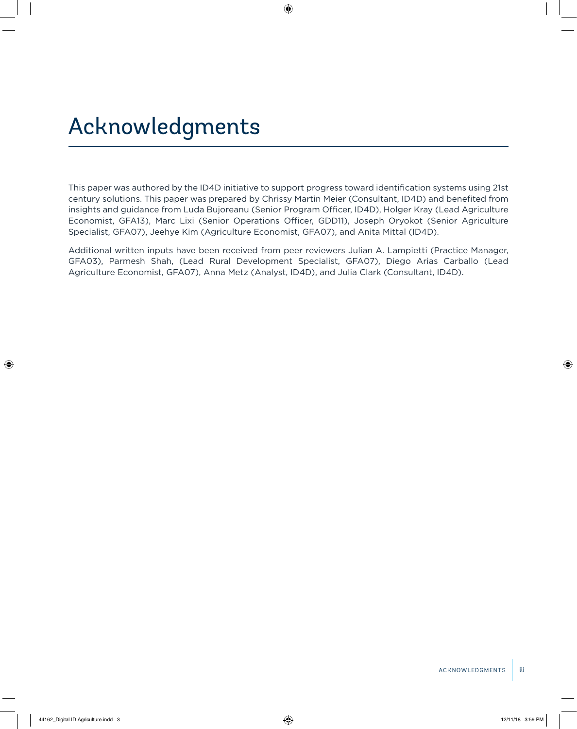## <span id="page-4-0"></span>Acknowledgments

This paper was authored by the ID4D initiative to support progress toward identification systems using 21st century solutions. This paper was prepared by Chrissy Martin Meier (Consultant, ID4D) and benefited from insights and guidance from Luda Bujoreanu (Senior Program Officer, ID4D), Holger Kray (Lead Agriculture Economist, GFA13), Marc Lixi (Senior Operations Officer, GDD11), Joseph Oryokot (Senior Agriculture Specialist, GFA07), Jeehye Kim (Agriculture Economist, GFA07), and Anita Mittal (ID4D).

Additional written inputs have been received from peer reviewers Julian A. Lampietti (Practice Manager, GFA03), Parmesh Shah, (Lead Rural Development Specialist, GFA07), Diego Arias Carballo (Lead Agriculture Economist, GFA07), Anna Metz (Analyst, ID4D), and Julia Clark (Consultant, ID4D).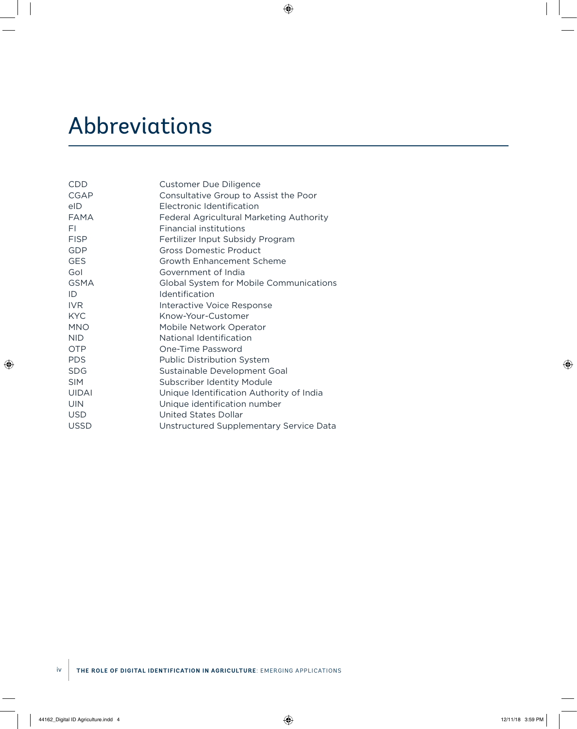## <span id="page-5-0"></span>Abbreviations

| CDD          | Customer Due Diligence                          |
|--------------|-------------------------------------------------|
| <b>CGAP</b>  | Consultative Group to Assist the Poor           |
| eID          | Electronic Identification                       |
| <b>FAMA</b>  | <b>Federal Agricultural Marketing Authority</b> |
| FL.          | <b>Financial institutions</b>                   |
| <b>FISP</b>  | Fertilizer Input Subsidy Program                |
| <b>GDP</b>   | <b>Gross Domestic Product</b>                   |
| <b>GES</b>   | Growth Enhancement Scheme                       |
| Gol          | Government of India                             |
| <b>GSMA</b>  | Global System for Mobile Communications         |
| ID           | Identification                                  |
| <b>IVR</b>   | Interactive Voice Response                      |
| KYC.         | Know-Your-Customer                              |
| <b>MNO</b>   | Mobile Network Operator                         |
| <b>NID</b>   | National Identification                         |
| <b>OTP</b>   | One-Time Password                               |
| <b>PDS</b>   | <b>Public Distribution System</b>               |
| <b>SDG</b>   | Sustainable Development Goal                    |
| <b>SIM</b>   | <b>Subscriber Identity Module</b>               |
| <b>UIDAI</b> | Unique Identification Authority of India        |
| <b>UIN</b>   | Unique identification number                    |
| <b>USD</b>   | <b>United States Dollar</b>                     |
| <b>USSD</b>  | Unstructured Supplementary Service Data         |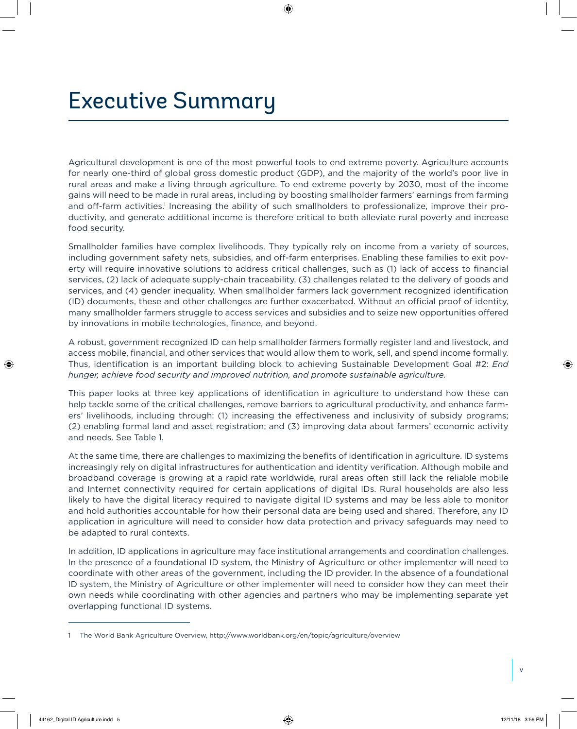## <span id="page-6-0"></span>Executive Summary

Agricultural development is one of the most powerful tools to end extreme poverty. Agriculture accounts for nearly one-third of global gross domestic product (GDP), and the majority of the world's poor live in rural areas and make a living through agriculture. To end extreme poverty by 2030, most of the income gains will need to be made in rural areas, including by boosting smallholder farmers' earnings from farming and off-farm activities.<sup>1</sup> Increasing the ability of such smallholders to professionalize, improve their productivity, and generate additional income is therefore critical to both alleviate rural poverty and increase food security.

Smallholder families have complex livelihoods. They typically rely on income from a variety of sources, including government safety nets, subsidies, and off-farm enterprises. Enabling these families to exit poverty will require innovative solutions to address critical challenges, such as (1) lack of access to financial services, (2) lack of adequate supply-chain traceability, (3) challenges related to the delivery of goods and services, and (4) gender inequality. When smallholder farmers lack government recognized identification (ID) documents, these and other challenges are further exacerbated. Without an official proof of identity, many smallholder farmers struggle to access services and subsidies and to seize new opportunities offered by innovations in mobile technologies, finance, and beyond.

A robust, government recognized ID can help smallholder farmers formally register land and livestock, and access mobile, financial, and other services that would allow them to work, sell, and spend income formally. Thus, identification is an important building block to achieving Sustainable Development Goal #2: *End hunger, achieve food security and improved nutrition, and promote sustainable agriculture.*

This paper looks at three key applications of identification in agriculture to understand how these can help tackle some of the critical challenges, remove barriers to agricultural productivity, and enhance farmers' livelihoods, including through: (1) increasing the effectiveness and inclusivity of subsidy programs; (2) enabling formal land and asset registration; and (3) improving data about farmers' economic activity and needs. See Table 1.

At the same time, there are challenges to maximizing the benefits of identification in agriculture. ID systems increasingly rely on digital infrastructures for authentication and identity verification. Although mobile and broadband coverage is growing at a rapid rate worldwide, rural areas often still lack the reliable mobile and Internet connectivity required for certain applications of digital IDs. Rural households are also less likely to have the digital literacy required to navigate digital ID systems and may be less able to monitor and hold authorities accountable for how their personal data are being used and shared. Therefore, any ID application in agriculture will need to consider how data protection and privacy safeguards may need to be adapted to rural contexts.

In addition, ID applications in agriculture may face institutional arrangements and coordination challenges. In the presence of a foundational ID system, the Ministry of Agriculture or other implementer will need to coordinate with other areas of the government, including the ID provider. In the absence of a foundational ID system, the Ministry of Agriculture or other implementer will need to consider how they can meet their own needs while coordinating with other agencies and partners who may be implementing separate yet overlapping functional ID systems.

<sup>1</sup> The World Bank Agriculture Overview, http://www.worldbank.org/en/topic/agriculture/overview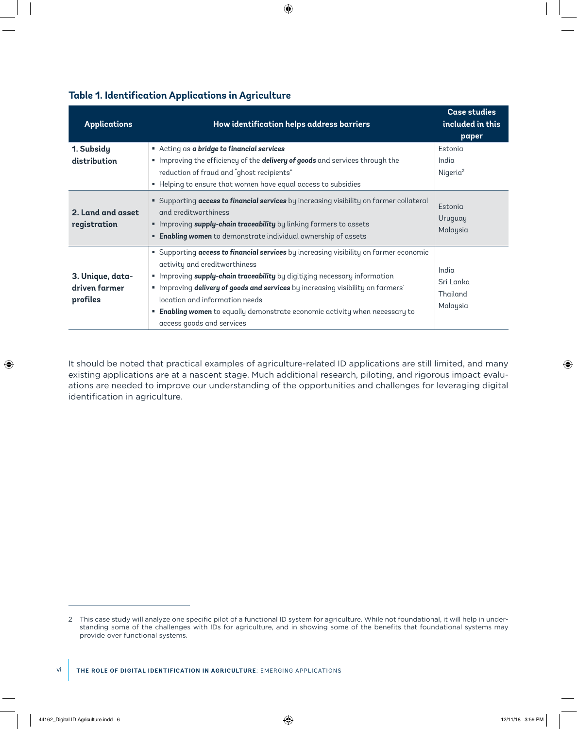#### <span id="page-7-0"></span>**Table 1. Identification Applications in Agriculture**

| <b>Applications</b>                           | How identification helps address barriers                                                                                                                                                                                                                                                                                                                                                                                                              | Case studies<br>included in this<br>paper  |
|-----------------------------------------------|--------------------------------------------------------------------------------------------------------------------------------------------------------------------------------------------------------------------------------------------------------------------------------------------------------------------------------------------------------------------------------------------------------------------------------------------------------|--------------------------------------------|
| 1. Subsidy<br>distribution                    | Acting as a bridge to financial services<br>Improving the efficiency of the delivery of goods and services through the<br>reduction of fraud and "ghost recipients"<br>• Helping to ensure that women have equal access to subsidies                                                                                                                                                                                                                   | Estonia<br>India<br>Nigeria <sup>2</sup>   |
| 2. Land and asset<br>registration             | Supporting access to financial services by increasing visibility on farmer collateral<br>and creditworthiness<br>Improving supply-chain traceability by linking farmers to assets<br><b>Enabling women</b> to demonstrate individual ownership of assets                                                                                                                                                                                               | Estonia<br>Uruguay<br>Malaysia             |
| 3. Unique, data-<br>driven farmer<br>profiles | <b>Example 1</b> Supporting <b>access to financial services</b> by increasing visibility on farmer economic<br>activity and creditworthiness<br>Improving supply-chain traceability by digitizing necessary information<br>" Improving delivery of goods and services by increasing visibility on farmers'<br>location and information needs<br>Enabling women to equally demonstrate economic activity when necessary to<br>access goods and services | India<br>Sri Lanka<br>Thailand<br>Malaysia |

It should be noted that practical examples of agriculture-related ID applications are still limited, and many existing applications are at a nascent stage. Much additional research, piloting, and rigorous impact evaluations are needed to improve our understanding of the opportunities and challenges for leveraging digital identification in agriculture.

<sup>2</sup> This case study will analyze one specific pilot of a functional ID system for agriculture. While not foundational, it will help in understanding some of the challenges with IDs for agriculture, and in showing some of the benefits that foundational systems may provide over functional systems.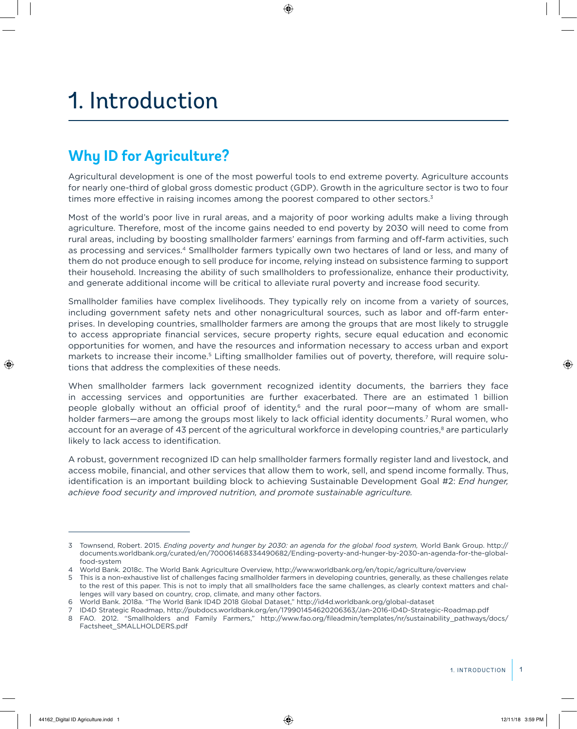# <span id="page-8-0"></span>1. Introduction

## **Why ID for Agriculture?**

Agricultural development is one of the most powerful tools to end extreme poverty. Agriculture accounts for nearly one-third of global gross domestic product (GDP). Growth in the agriculture sector is two to four times more effective in raising incomes among the poorest compared to other sectors. $3$ 

Most of the world's poor live in rural areas, and a majority of poor working adults make a living through agriculture. Therefore, most of the income gains needed to end poverty by 2030 will need to come from rural areas, including by boosting smallholder farmers' earnings from farming and off-farm activities, such as processing and services.<sup>4</sup> Smallholder farmers typically own two hectares of land or less, and many of them do not produce enough to sell produce for income, relying instead on subsistence farming to support their household. Increasing the ability of such smallholders to professionalize, enhance their productivity, and generate additional income will be critical to alleviate rural poverty and increase food security.

Smallholder families have complex livelihoods. They typically rely on income from a variety of sources, including government safety nets and other nonagricultural sources, such as labor and off-farm enterprises. In developing countries, smallholder farmers are among the groups that are most likely to struggle to access appropriate financial services, secure property rights, secure equal education and economic opportunities for women, and have the resources and information necessary to access urban and export markets to increase their income.<sup>5</sup> Lifting smallholder families out of poverty, therefore, will require solutions that address the complexities of these needs.

When smallholder farmers lack government recognized identity documents, the barriers they face in accessing services and opportunities are further exacerbated. There are an estimated 1 billion people globally without an official proof of identity,<sup>6</sup> and the rural poor—many of whom are smallholder farmers—are among the groups most likely to lack official identity documents.<sup>7</sup> Rural women, who account for an average of 43 percent of the agricultural workforce in developing countries,<sup>8</sup> are particularly likely to lack access to identification.

A robust, government recognized ID can help smallholder farmers formally register land and livestock, and access mobile, financial, and other services that allow them to work, sell, and spend income formally. Thus, identification is an important building block to achieving Sustainable Development Goal #2: *End hunger, achieve food security and improved nutrition, and promote sustainable agriculture.*

<sup>3</sup> Townsend, Robert. 2015. *Ending poverty and hunger by 2030: an agenda for the global food system,* World Bank Group. http:// documents.worldbank.org/curated/en/700061468334490682/Ending-poverty-and-hunger-by-2030-an-agenda-for-the-globalfood-system

<sup>4</sup> World Bank. 2018c. The World Bank Agriculture Overview, http://www.worldbank.org/en/topic/agriculture/overview

<sup>5</sup> This is a non-exhaustive list of challenges facing smallholder farmers in developing countries, generally, as these challenges relate to the rest of this paper. This is not to imply that all smallholders face the same challenges, as clearly context matters and challenges will vary based on country, crop, climate, and many other factors.

<sup>6</sup> World Bank. 2018a. "The World Bank ID4D 2018 Global Dataset," http://id4d.worldbank.org/global-dataset

<sup>7</sup> ID4D Strategic Roadmap, http://pubdocs.worldbank.org/en/179901454620206363/Jan-2016-ID4D-Strategic-Roadmap.pdf

<sup>8</sup> FAO. 2012. "Smallholders and Family Farmers," http://www.fao.org/fileadmin/templates/nr/sustainability\_pathways/docs/ Factsheet\_SMALLHOLDERS.pdf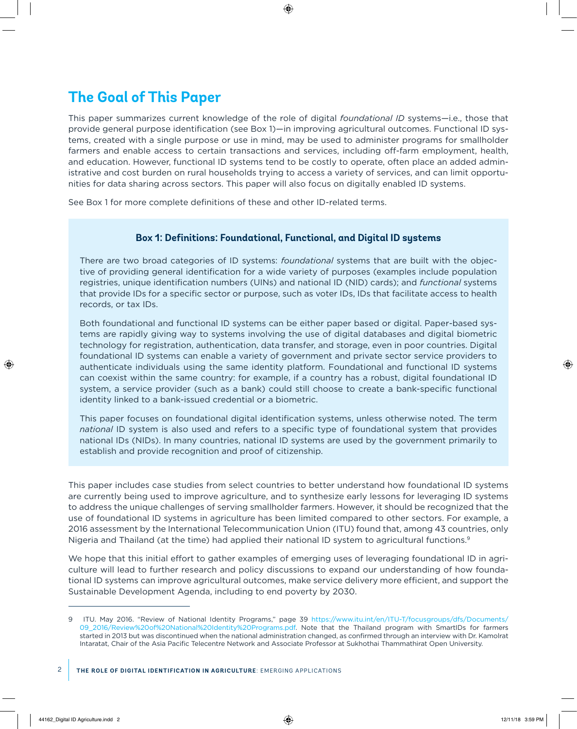## <span id="page-9-0"></span>**The Goal of This Paper**

This paper summarizes current knowledge of the role of digital *foundational ID* systems—i.e., those that provide general purpose identification (see Box 1)—in improving agricultural outcomes. Functional ID systems, created with a single purpose or use in mind, may be used to administer programs for smallholder farmers and enable access to certain transactions and services, including off-farm employment, health, and education. However, functional ID systems tend to be costly to operate, often place an added administrative and cost burden on rural households trying to access a variety of services, and can limit opportunities for data sharing across sectors. This paper will also focus on digitally enabled ID systems.

See Box 1 for more complete definitions of these and other ID-related terms.

#### **Box 1: Definitions: Foundational, Functional, and Digital ID systems**

There are two broad categories of ID systems: *foundational* systems that are built with the objective of providing general identification for a wide variety of purposes (examples include population registries, unique identification numbers (UINs) and national ID (NID) cards); and *functional* systems that provide IDs for a specific sector or purpose, such as voter IDs, IDs that facilitate access to health records, or tax IDs.

Both foundational and functional ID systems can be either paper based or digital. Paper-based systems are rapidly giving way to systems involving the use of digital databases and digital biometric technology for registration, authentication, data transfer, and storage, even in poor countries. Digital foundational ID systems can enable a variety of government and private sector service providers to authenticate individuals using the same identity platform. Foundational and functional ID systems can coexist within the same country: for example, if a country has a robust, digital foundational ID system, a service provider (such as a bank) could still choose to create a bank-specific functional identity linked to a bank-issued credential or a biometric.

This paper focuses on foundational digital identification systems, unless otherwise noted. The term *national* ID system is also used and refers to a specific type of foundational system that provides national IDs (NIDs). In many countries, national ID systems are used by the government primarily to establish and provide recognition and proof of citizenship.

This paper includes case studies from select countries to better understand how foundational ID systems are currently being used to improve agriculture, and to synthesize early lessons for leveraging ID systems to address the unique challenges of serving smallholder farmers. However, it should be recognized that the use of foundational ID systems in agriculture has been limited compared to other sectors. For example, a 2016 assessment by the International Telecommunication Union (ITU) found that, among 43 countries, only Nigeria and Thailand (at the time) had applied their national ID system to agricultural functions.<sup>9</sup>

We hope that this initial effort to gather examples of emerging uses of leveraging foundational ID in agriculture will lead to further research and policy discussions to expand our understanding of how foundational ID systems can improve agricultural outcomes, make service delivery more efficient, and support the Sustainable Development Agenda, including to end poverty by 2030.

<sup>9</sup> ITU. May 2016. "Review of National Identity Programs," page 39 [https://www.itu.int/en/ITU-T/focusgroups/dfs/Documents/](https://www.itu.int/en/ITU-T/focusgroups/dfs/Documents/09_2016/Review%20of%20National%20Identity%20Programs.pdf)  [09\\_2016/Review%20of%20National%20Identity%20Programs.pdf.](https://www.itu.int/en/ITU-T/focusgroups/dfs/Documents/09_2016/Review%20of%20National%20Identity%20Programs.pdf) Note that the Thailand program with SmartIDs for farmers started in 2013 but was discontinued when the national administration changed, as confirmed through an interview with Dr. Kamolrat Intaratat, Chair of the Asia Pacific Telecentre Network and Associate Professor at Sukhothai Thammathirat Open University.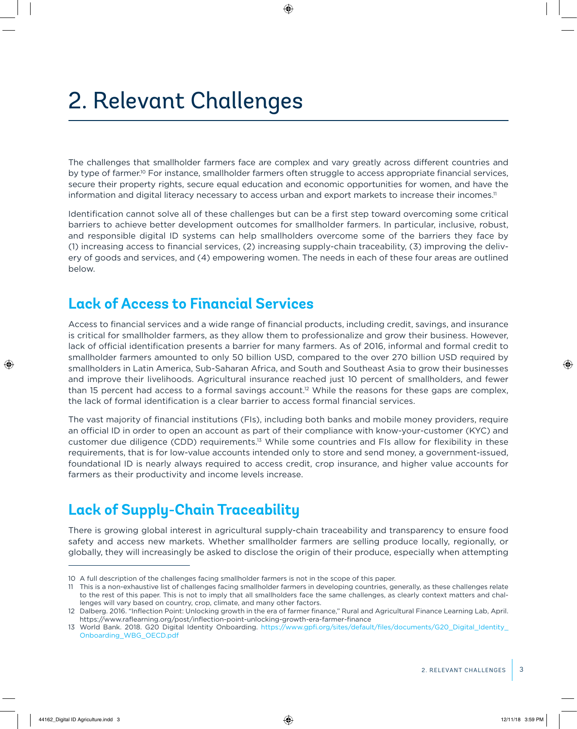# <span id="page-10-0"></span>2. Relevant Challenges

The challenges that smallholder farmers face are complex and vary greatly across different countries and by type of farmer.<sup>10</sup> For instance, smallholder farmers often struggle to access appropriate financial services, secure their property rights, secure equal education and economic opportunities for women, and have the information and digital literacy necessary to access urban and export markets to increase their incomes.<sup>11</sup>

Identification cannot solve all of these challenges but can be a first step toward overcoming some critical barriers to achieve better development outcomes for smallholder farmers. In particular, inclusive, robust, and responsible digital ID systems can help smallholders overcome some of the barriers they face by (1) increasing access to financial services, (2) increasing supply-chain traceability, (3) improving the delivery of goods and services, and (4) empowering women. The needs in each of these four areas are outlined below.

### **Lack of Access to Financial Services**

Access to financial services and a wide range of financial products, including credit, savings, and insurance is critical for smallholder farmers, as they allow them to professionalize and grow their business. However, lack of official identification presents a barrier for many farmers. As of 2016, informal and formal credit to smallholder farmers amounted to only 50 billion USD, compared to the over 270 billion USD required by smallholders in Latin America, Sub-Saharan Africa, and South and Southeast Asia to grow their businesses and improve their livelihoods. Agricultural insurance reached just 10 percent of smallholders, and fewer than 15 percent had access to a formal savings account.<sup>12</sup> While the reasons for these gaps are complex, the lack of formal identification is a clear barrier to access formal financial services.

The vast majority of financial institutions (FIs), including both banks and mobile money providers, require an official ID in order to open an account as part of their compliance with know-your-customer (KYC) and customer due diligence (CDD) requirements.<sup>13</sup> While some countries and FIs allow for flexibility in these requirements, that is for low-value accounts intended only to store and send money, a government-issued, foundational ID is nearly always required to access credit, crop insurance, and higher value accounts for farmers as their productivity and income levels increase.

## **Lack of Supply-Chain Traceability**

There is growing global interest in agricultural supply-chain traceability and transparency to ensure food safety and access new markets. Whether smallholder farmers are selling produce locally, regionally, or globally, they will increasingly be asked to disclose the origin of their produce, especially when attempting

<sup>10</sup> A full description of the challenges facing smallholder farmers is not in the scope of this paper.

<sup>11</sup> This is a non-exhaustive list of challenges facing smallholder farmers in developing countries, generally, as these challenges relate to the rest of this paper. This is not to imply that all smallholders face the same challenges, as clearly context matters and challenges will vary based on country, crop, climate, and many other factors.

<sup>12</sup> Dalberg. 2016. "Inflection Point: Unlocking growth in the era of farmer finance," Rural and Agricultural Finance Learning Lab, April. https://www.raflearning.org/post/inflection-point-unlocking-growth-era-farmer-finance

<sup>13</sup> World Bank. 2018. G20 Digital Identity Onboarding. [https://www.gpfi.org/sites/default/files/documents/G20\\_Digital\\_Identity\\_](https://www.gpfi.org/sites/default/files/documents/G20_Digital_Identity_Onboarding_WBG_OECD.pdf) [Onboarding\\_WBG\\_OECD.pdf](https://www.gpfi.org/sites/default/files/documents/G20_Digital_Identity_Onboarding_WBG_OECD.pdf)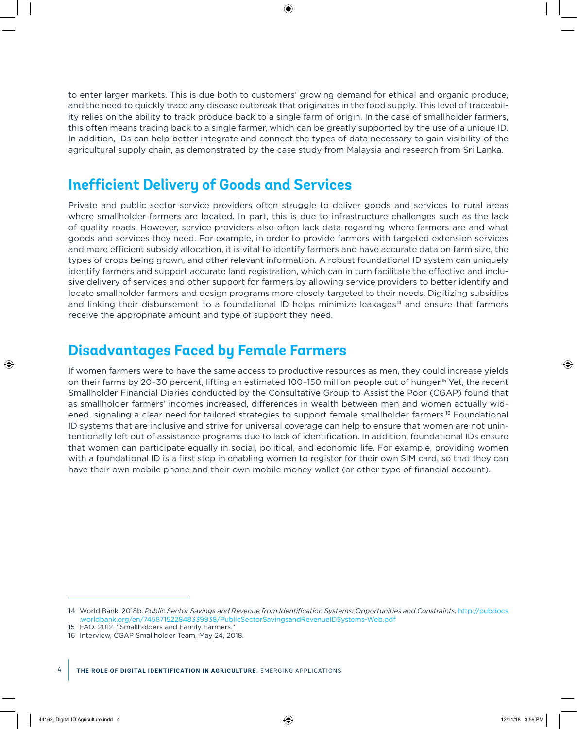<span id="page-11-0"></span>to enter larger markets. This is due both to customers' growing demand for ethical and organic produce, and the need to quickly trace any disease outbreak that originates in the food supply. This level of traceability relies on the ability to track produce back to a single farm of origin. In the case of smallholder farmers, this often means tracing back to a single farmer, which can be greatly supported by the use of a unique ID. In addition, IDs can help better integrate and connect the types of data necessary to gain visibility of the agricultural supply chain, as demonstrated by the case study from Malaysia and research from Sri Lanka.

### **Inefficient Delivery of Goods and Services**

Private and public sector service providers often struggle to deliver goods and services to rural areas where smallholder farmers are located. In part, this is due to infrastructure challenges such as the lack of quality roads. However, service providers also often lack data regarding where farmers are and what goods and services they need. For example, in order to provide farmers with targeted extension services and more efficient subsidy allocation, it is vital to identify farmers and have accurate data on farm size, the types of crops being grown, and other relevant information. A robust foundational ID system can uniquely identify farmers and support accurate land registration, which can in turn facilitate the effective and inclusive delivery of services and other support for farmers by allowing service providers to better identify and locate smallholder farmers and design programs more closely targeted to their needs. Digitizing subsidies and linking their disbursement to a foundational ID helps minimize leakages<sup>14</sup> and ensure that farmers receive the appropriate amount and type of support they need.

## **Disadvantages Faced by Female Farmers**

If women farmers were to have the same access to productive resources as men, they could increase yields on their farms by 20–30 percent, lifting an estimated 100–150 million people out of hunger.15 Yet, the recent Smallholder Financial Diaries conducted by the Consultative Group to Assist the Poor (CGAP) found that as smallholder farmers' incomes increased, differences in wealth between men and women actually widened, signaling a clear need for tailored strategies to support female smallholder farmers.<sup>16</sup> Foundational ID systems that are inclusive and strive for universal coverage can help to ensure that women are not unintentionally left out of assistance programs due to lack of identification. In addition, foundational IDs ensure that women can participate equally in social, political, and economic life. For example, providing women with a foundational ID is a first step in enabling women to register for their own SIM card, so that they can have their own mobile phone and their own mobile money wallet (or other type of financial account).

<sup>14</sup> World Bank. 2018b. Public Sector Savings and Revenue from Identification Systems: Opportunities and Constraints. http://pubdocs [.worldbank.org/en/745871522848339938/PublicSectorSavingsandRevenueIDSystems-Web.pdf](http://pubdocs.worldbank.org/en/745871522848339938/PublicSectorSavingsandRevenueIDSystems-Web.pdf)

<sup>15</sup> FAO. 2012. "Smallholders and Family Farmers."

<sup>16</sup> Interview, CGAP Smallholder Team, May 24, 2018.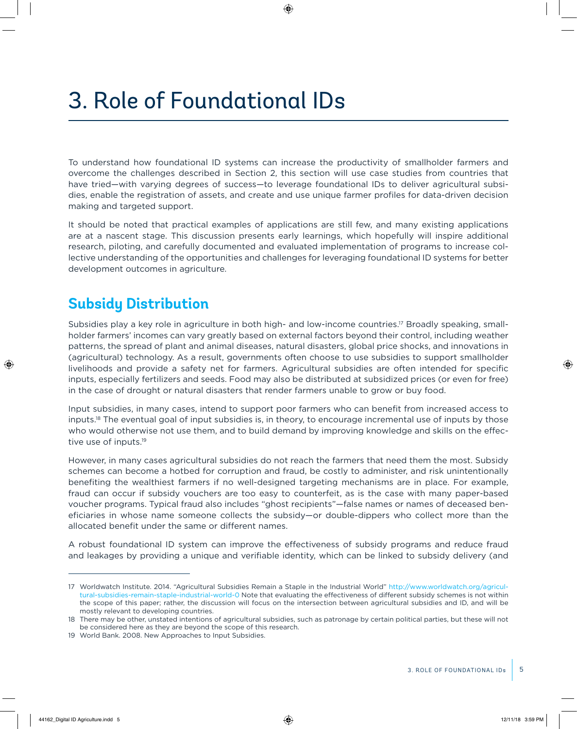# <span id="page-12-0"></span>3. Role of Foundational IDs

To understand how foundational ID systems can increase the productivity of smallholder farmers and overcome the challenges described in Section 2, this section will use case studies from countries that have tried—with varying degrees of success—to leverage foundational IDs to deliver agricultural subsidies, enable the registration of assets, and create and use unique farmer profiles for data-driven decision making and targeted support.

It should be noted that practical examples of applications are still few, and many existing applications are at a nascent stage. This discussion presents early learnings, which hopefully will inspire additional research, piloting, and carefully documented and evaluated implementation of programs to increase collective understanding of the opportunities and challenges for leveraging foundational ID systems for better development outcomes in agriculture.

## **Subsidy Distribution**

Subsidies play a key role in agriculture in both high- and low-income countries.<sup>17</sup> Broadly speaking, smallholder farmers' incomes can vary greatly based on external factors beyond their control, including weather patterns, the spread of plant and animal diseases, natural disasters, global price shocks, and innovations in (agricultural) technology. As a result, governments often choose to use subsidies to support smallholder livelihoods and provide a safety net for farmers. Agricultural subsidies are often intended for specific inputs, especially fertilizers and seeds. Food may also be distributed at subsidized prices (or even for free) in the case of drought or natural disasters that render farmers unable to grow or buy food.

Input subsidies, in many cases, intend to support poor farmers who can benefit from increased access to inputs.18 The eventual goal of input subsidies is, in theory, to encourage incremental use of inputs by those who would otherwise not use them, and to build demand by improving knowledge and skills on the effective use of inputs.<sup>19</sup>

However, in many cases agricultural subsidies do not reach the farmers that need them the most. Subsidy schemes can become a hotbed for corruption and fraud, be costly to administer, and risk unintentionally benefiting the wealthiest farmers if no well-designed targeting mechanisms are in place. For example, fraud can occur if subsidy vouchers are too easy to counterfeit, as is the case with many paper-based voucher programs. Typical fraud also includes "ghost recipients"—false names or names of deceased beneficiaries in whose name someone collects the subsidy—or double-dippers who collect more than the allocated benefit under the same or different names.

A robust foundational ID system can improve the effectiveness of subsidy programs and reduce fraud and leakages by providing a unique and verifiable identity, which can be linked to subsidy delivery (and

<sup>17</sup> Worldwatch Institute. 2014. "Agricultural Subsidies Remain a Staple in the Industrial World" [http://www.worldwatch.org/agricul](http://www.worldwatch.org/agricultural-subsidies-remain-staple-industrial-world-0)[tural-subsidies-remain-staple-industrial-world-0](http://www.worldwatch.org/agricultural-subsidies-remain-staple-industrial-world-0) Note that evaluating the effectiveness of different subsidy schemes is not within the scope of this paper; rather, the discussion will focus on the intersection between agricultural subsidies and ID, and will be mostly relevant to developing countries.

<sup>18</sup> There may be other, unstated intentions of agricultural subsidies, such as patronage by certain political parties, but these will not be considered here as they are beyond the scope of this research.

<sup>19</sup> World Bank. 2008. New Approaches to Input Subsidies.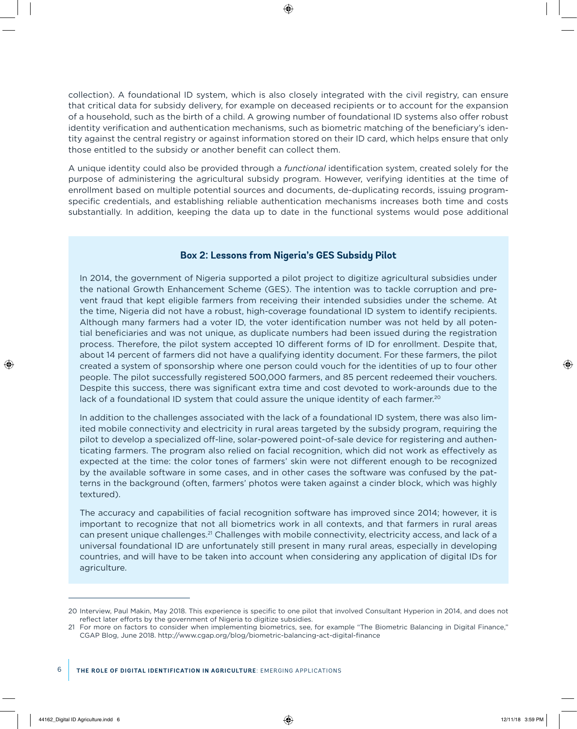<span id="page-13-0"></span>collection). A foundational ID system, which is also closely integrated with the civil registry, can ensure that critical data for subsidy delivery, for example on deceased recipients or to account for the expansion of a household, such as the birth of a child. A growing number of foundational ID systems also offer robust identity verification and authentication mechanisms, such as biometric matching of the beneficiary's identity against the central registry or against information stored on their ID card, which helps ensure that only those entitled to the subsidy or another benefit can collect them.

A unique identity could also be provided through a *functional* identification system, created solely for the purpose of administering the agricultural subsidy program. However, verifying identities at the time of enrollment based on multiple potential sources and documents, de-duplicating records, issuing programspecific credentials, and establishing reliable authentication mechanisms increases both time and costs substantially. In addition, keeping the data up to date in the functional systems would pose additional

#### **Box 2: Lessons from Nigeria's GES Subsidy Pilot**

In 2014, the government of Nigeria supported a pilot project to digitize agricultural subsidies under the national Growth Enhancement Scheme (GES). The intention was to tackle corruption and prevent fraud that kept eligible farmers from receiving their intended subsidies under the scheme. At the time, Nigeria did not have a robust, high-coverage foundational ID system to identify recipients. Although many farmers had a voter ID, the voter identification number was not held by all potential beneficiaries and was not unique, as duplicate numbers had been issued during the registration process. Therefore, the pilot system accepted 10 different forms of ID for enrollment. Despite that, about 14 percent of farmers did not have a qualifying identity document. For these farmers, the pilot created a system of sponsorship where one person could vouch for the identities of up to four other people. The pilot successfully registered 500,000 farmers, and 85 percent redeemed their vouchers. Despite this success, there was significant extra time and cost devoted to work-arounds due to the lack of a foundational ID system that could assure the unique identity of each farmer.<sup>20</sup>

In addition to the challenges associated with the lack of a foundational ID system, there was also limited mobile connectivity and electricity in rural areas targeted by the subsidy program, requiring the pilot to develop a specialized off-line, solar-powered point-of-sale device for registering and authenticating farmers. The program also relied on facial recognition, which did not work as effectively as expected at the time: the color tones of farmers' skin were not different enough to be recognized by the available software in some cases, and in other cases the software was confused by the patterns in the background (often, farmers' photos were taken against a cinder block, which was highly textured).

The accuracy and capabilities of facial recognition software has improved since 2014; however, it is important to recognize that not all biometrics work in all contexts, and that farmers in rural areas can present unique challenges.21 Challenges with mobile connectivity, electricity access, and lack of a universal foundational ID are unfortunately still present in many rural areas, especially in developing countries, and will have to be taken into account when considering any application of digital IDs for agriculture.

<sup>20</sup> Interview, Paul Makin, May 2018. This experience is specific to one pilot that involved Consultant Hyperion in 2014, and does not reflect later efforts by the government of Nigeria to digitize subsidies.

<sup>21</sup> For more on factors to consider when implementing biometrics, see, for example "The Biometric Balancing in Digital Finance," CGAP Blog, June 2018. http://www.cgap.org/blog/biometric-balancing-act-digital-finance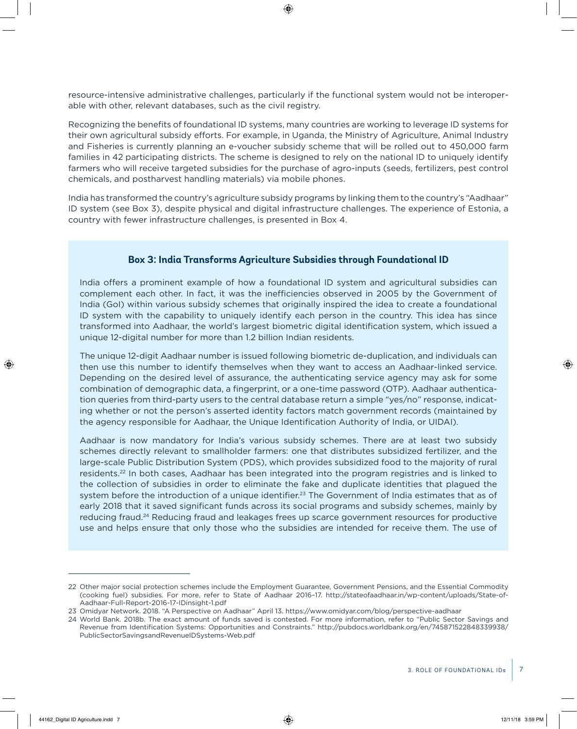<span id="page-14-0"></span>resource-intensive administrative challenges, particularly if the functional system would not be interoperable with other, relevant databases, such as the civil registry.

Recognizing the benefits of foundational ID systems, many countries are working to leverage ID systems for their own agricultural subsidy efforts. For example, in Uganda, the Ministry of Agriculture, Animal Industry and Fisheries is currently planning an e-voucher subsidy scheme that will be rolled out to 450,000 farm families in 42 participating districts. The scheme is designed to rely on the national ID to uniquely identify farmers who will receive targeted subsidies for the purchase of agro-inputs (seeds, fertilizers, pest control chemicals, and postharvest handling materials) via mobile phones.

India has transformed the country's agriculture subsidy programs by linking them to the country's "Aadhaar" ID system (see Box 3), despite physical and digital infrastructure challenges. The experience of Estonia, a country with fewer infrastructure challenges, is presented in Box 4.

### **Box 3: India Transforms Agriculture Subsidies through Foundational ID**

India offers a prominent example of how a foundational ID system and agricultural subsidies can complement each other. In fact, it was the inefficiencies observed in 2005 by the Government of India (GoI) within various subsidy schemes that originally inspired the idea to create a foundational ID system with the capability to uniquely identify each person in the country. This idea has since transformed into Aadhaar, the world's largest biometric digital identification system, which issued a unique 12-digital number for more than 1.2 billion Indian residents.

The unique 12-digit Aadhaar number is issued following biometric de-duplication, and individuals can then use this number to identify themselves when they want to access an Aadhaar-linked service. Depending on the desired level of assurance, the authenticating service agency may ask for some combination of demographic data, a fingerprint, or a one-time password (OTP). Aadhaar authentication queries from third-party users to the central database return a simple "yes/no" response, indicating whether or not the person's asserted identity factors match government records (maintained by the agency responsible for Aadhaar, the Unique Identification Authority of India, or UIDAI).

Aadhaar is now mandatory for India's various subsidy schemes. There are at least two subsidy schemes directly relevant to smallholder farmers: one that distributes subsidized fertilizer, and the large-scale Public Distribution System (PDS), which provides subsidized food to the majority of rural residents.<sup>22</sup> In both cases, Aadhaar has been integrated into the program registries and is linked to the collection of subsidies in order to eliminate the fake and duplicate identities that plagued the system before the introduction of a unique identifier.<sup>23</sup> The Government of India estimates that as of early 2018 that it saved significant funds across its social programs and subsidy schemes, mainly by reducing fraud.<sup>24</sup> Reducing fraud and leakages frees up scarce government resources for productive use and helps ensure that only those who the subsidies are intended for receive them. The use of

<sup>22</sup> Other major social protection schemes include the Employment Guarantee, Government Pensions, and the Essential Commodity (cooking fuel) subsidies. For more, refer to State of Aadhaar 2016–17. http://stateofaadhaar.in/wp-content/uploads/State-of-Aadhaar-Full-Report-2016-17-IDinsight-1.pdf

<sup>23</sup> Omidyar Network. 2018. "A Perspective on Aadhaar" April 13. https://www.omidyar.com/blog/perspective-aadhaar

<sup>24</sup> World Bank. 2018b. The exact amount of funds saved is contested. For more information, refer to "Public Sector Savings and Revenue from Identification Systems: Opportunities and Constraints." http://pubdocs.worldbank.org/en/745871522848339938/ PublicSectorSavingsandRevenueIDSystems-Web.pdf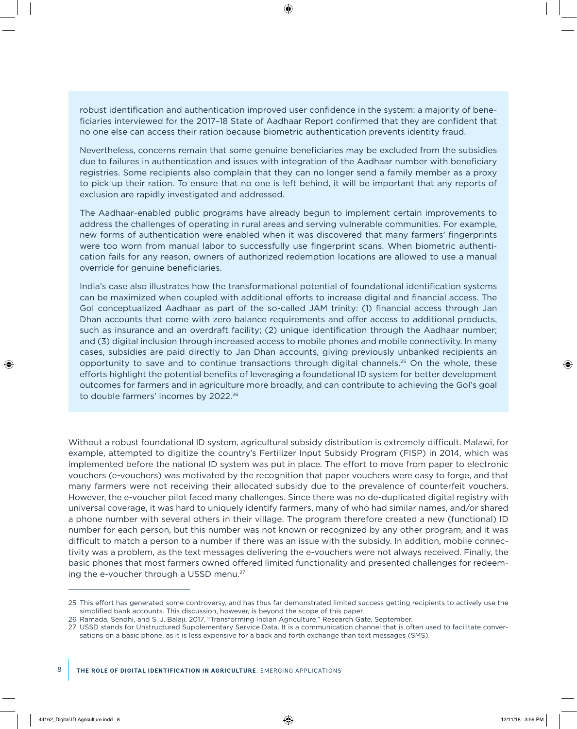robust identification and authentication improved user confidence in the system: a majority of beneficiaries interviewed for the 2017–18 State of Aadhaar Report confirmed that they are confident that no one else can access their ration because biometric authentication prevents identity fraud.

Nevertheless, concerns remain that some genuine beneficiaries may be excluded from the subsidies due to failures in authentication and issues with integration of the Aadhaar number with beneficiary registries. Some recipients also complain that they can no longer send a family member as a proxy to pick up their ration. To ensure that no one is left behind, it will be important that any reports of exclusion are rapidly investigated and addressed.

The Aadhaar-enabled public programs have already begun to implement certain improvements to address the challenges of operating in rural areas and serving vulnerable communities. For example, new forms of authentication were enabled when it was discovered that many farmers' fingerprints were too worn from manual labor to successfully use fingerprint scans. When biometric authentication fails for any reason, owners of authorized redemption locations are allowed to use a manual override for genuine beneficiaries.

India's case also illustrates how the transformational potential of foundational identification systems can be maximized when coupled with additional efforts to increase digital and financial access. The GoI conceptualized Aadhaar as part of the so-called JAM trinity: (1) financial access through Jan Dhan accounts that come with zero balance requirements and offer access to additional products, such as insurance and an overdraft facility; (2) unique identification through the Aadhaar number; and (3) digital inclusion through increased access to mobile phones and mobile connectivity. In many cases, subsidies are paid directly to Jan Dhan accounts, giving previously unbanked recipients an opportunity to save and to continue transactions through digital channels.<sup>25</sup> On the whole, these efforts highlight the potential benefits of leveraging a foundational ID system for better development outcomes for farmers and in agriculture more broadly, and can contribute to achieving the GoI's goal to double farmers' incomes by 2022.<sup>26</sup>

Without a robust foundational ID system, agricultural subsidy distribution is extremely difficult. Malawi, for example, attempted to digitize the country's Fertilizer Input Subsidy Program (FISP) in 2014, which was implemented before the national ID system was put in place. The effort to move from paper to electronic vouchers (e-vouchers) was motivated by the recognition that paper vouchers were easy to forge, and that many farmers were not receiving their allocated subsidy due to the prevalence of counterfeit vouchers. However, the e-voucher pilot faced many challenges. Since there was no de-duplicated digital registry with universal coverage, it was hard to uniquely identify farmers, many of who had similar names, and/or shared a phone number with several others in their village. The program therefore created a new (functional) ID number for each person, but this number was not known or recognized by any other program, and it was difficult to match a person to a number if there was an issue with the subsidy. In addition, mobile connectivity was a problem, as the text messages delivering the e-vouchers were not always received. Finally, the basic phones that most farmers owned offered limited functionality and presented challenges for redeeming the e-voucher through a USSD menu.27

<sup>25</sup> This effort has generated some controversy, and has thus far demonstrated limited success getting recipients to actively use the simplified bank accounts. This discussion, however, is beyond the scope of this paper.

<sup>26</sup> Ramada, Sendhi, and S. J. Balaji. 2017. "Transforming Indian Agriculture," Research Gate, September.

<sup>27</sup> USSD stands for Unstructured Supplementary Service Data. It is a communication channel that is often used to facilitate conversations on a basic phone, as it is less expensive for a back and forth exchange than text messages (SMS).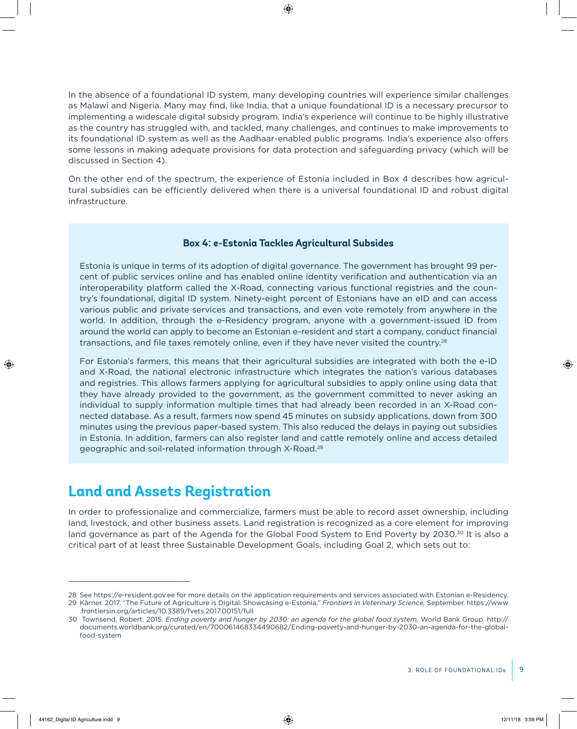<span id="page-16-0"></span>In the absence of a foundational ID system, many developing countries will experience similar challenges as Malawi and Nigeria. Many may find, like India, that a unique foundational ID is a necessary precursor to implementing a widescale digital subsidy program. India's experience will continue to be highly illustrative as the country has struggled with, and tackled, many challenges, and continues to make improvements to its foundational ID system as well as the Aadhaar-enabled public programs. India's experience also offers some lessons in making adequate provisions for data protection and safeguarding privacy (which will be discussed in Section 4).

On the other end of the spectrum, the experience of Estonia included in Box 4 describes how agricultural subsidies can be efficiently delivered when there is a universal foundational ID and robust digital infrastructure.

#### **Box 4: e-Estonia Tackles Agricultural Subsides**

Estonia is unique in terms of its adoption of digital governance. The government has brought 99 percent of public services online and has enabled online identity verification and authentication via an interoperability platform called the X-Road, connecting various functional registries and the country's foundational, digital ID system. Ninety-eight percent of Estonians have an eID and can access various public and private services and transactions, and even vote remotely from anywhere in the world. In addition, through the e-Residency program, anyone with a government-issued ID from around the world can apply to become an Estonian e-resident and start a company, conduct financial transactions, and file taxes remotely online, even if they have never visited the country.<sup>28</sup>

For Estonia's farmers, this means that their agricultural subsidies are integrated with both the e-ID and X-Road, the national electronic infrastructure which integrates the nation's various databases and registries. This allows farmers applying for agricultural subsidies to apply online using data that they have already provided to the government, as the government committed to never asking an individual to supply information multiple times that had already been recorded in an X-Road connected database. As a result, farmers now spend 45 minutes on subsidy applications, down from 300 minutes using the previous paper-based system. This also reduced the delays in paying out subsidies in Estonia. In addition, farmers can also register land and cattle remotely online and access detailed geographic and soil-related information through X-Road.29

### **Land and Assets Registration**

In order to professionalize and commercialize, farmers must be able to record asset ownership, including land, livestock, and other business assets. Land registration is recognized as a core element for improving land governance as part of the Agenda for the Global Food System to End Poverty by 2030.<sup>30</sup> It is also a critical part of at least three Sustainable Development Goals, including Goal 2, which sets out to:

<sup>28</sup> See https://e-resident.gov.ee for more details on the application requirements and services associated with Estonian e-Residency.

<sup>29</sup> Kärner. 2017. "The Future of Agriculture is Digital: Showcasing e-Estonia," *Frontiers in Veterinary Science,* September. https://www .frontiersin.org/articles/10.3389/fvets.2017.00151/full

<sup>30</sup> Townsend, Robert. 2015. *Ending poverty and hunger by 2030: an agenda for the global food system,* World Bank Group. http:// documents.worldbank.org/curated/en/700061468334490682/Ending-poverty-and-hunger-by-2030-an-agenda-for-the-globalfood-system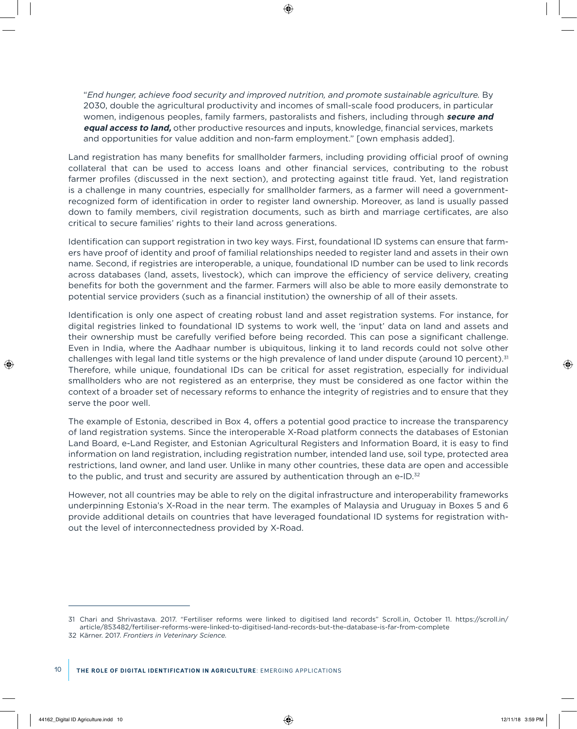"*End hunger, achieve food security and improved nutrition, and promote sustainable agriculture.* By 2030, double the agricultural productivity and incomes of small-scale food producers, in particular women, indigenous peoples, family farmers, pastoralists and fishers, including through **secure and equal access to land,** other productive resources and inputs, knowledge, financial services, markets and opportunities for value addition and non-farm employment." [own emphasis added].

Land registration has many benefits for smallholder farmers, including providing official proof of owning collateral that can be used to access loans and other financial services, contributing to the robust farmer profiles (discussed in the next section), and protecting against title fraud. Yet, land registration is a challenge in many countries, especially for smallholder farmers, as a farmer will need a governmentrecognized form of identification in order to register land ownership. Moreover, as land is usually passed down to family members, civil registration documents, such as birth and marriage certificates, are also critical to secure families' rights to their land across generations.

Identification can support registration in two key ways. First, foundational ID systems can ensure that farmers have proof of identity and proof of familial relationships needed to register land and assets in their own name. Second, if registries are interoperable, a unique, foundational ID number can be used to link records across databases (land, assets, livestock), which can improve the efficiency of service delivery, creating benefits for both the government and the farmer. Farmers will also be able to more easily demonstrate to potential service providers (such as a financial institution) the ownership of all of their assets.

Identification is only one aspect of creating robust land and asset registration systems. For instance, for digital registries linked to foundational ID systems to work well, the 'input' data on land and assets and their ownership must be carefully verified before being recorded. This can pose a significant challenge. Even in India, where the Aadhaar number is ubiquitous, linking it to land records could not solve other challenges with legal land title systems or the high prevalence of land under dispute (around 10 percent).31 Therefore, while unique, foundational IDs can be critical for asset registration, especially for individual smallholders who are not registered as an enterprise, they must be considered as one factor within the context of a broader set of necessary reforms to enhance the integrity of registries and to ensure that they serve the poor well.

The example of Estonia, described in Box 4, offers a potential good practice to increase the transparency of land registration systems. Since the interoperable X-Road platform connects the databases of Estonian Land Board, e-Land Register, and Estonian Agricultural Registers and Information Board, it is easy to find information on land registration, including registration number, intended land use, soil type, protected area restrictions, land owner, and land user. Unlike in many other countries, these data are open and accessible to the public, and trust and security are assured by authentication through an e-ID. $32$ 

However, not all countries may be able to rely on the digital infrastructure and interoperability frameworks underpinning Estonia's X-Road in the near term. The examples of Malaysia and Uruguay in Boxes 5 and 6 provide additional details on countries that have leveraged foundational ID systems for registration without the level of interconnectedness provided by X-Road.

<sup>31</sup> Chari and Shrivastava. 2017. "Fertiliser reforms were linked to digitised land records" Scroll.in, October 11. https://scroll.in/ article/853482/fertiliser-reforms-were-linked-to-digitised-land-records-but-the-database-is-far-from-complete

<sup>32</sup> Kärner. 2017. *Frontiers in Veterinary Science.*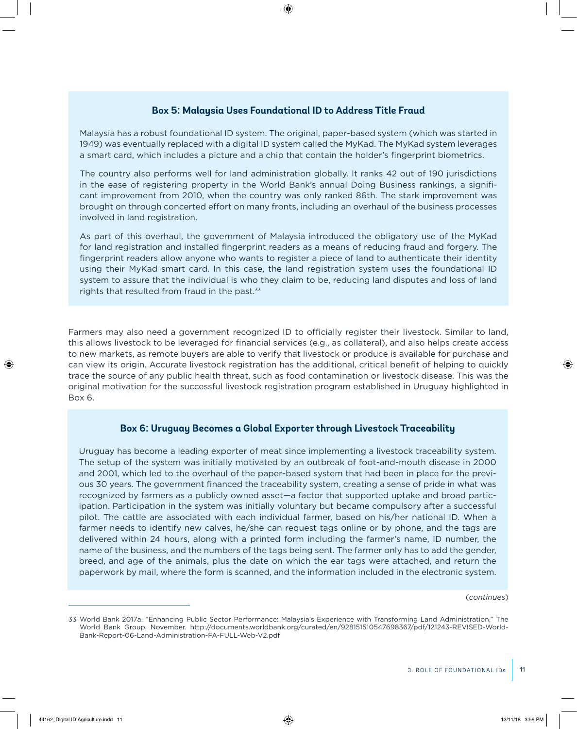#### **Box 5: Malaysia Uses Foundational ID to Address Title Fraud**

<span id="page-18-0"></span>Malaysia has a robust foundational ID system. The original, paper-based system (which was started in 1949) was eventually replaced with a digital ID system called the MyKad. The MyKad system leverages a smart card, which includes a picture and a chip that contain the holder's fingerprint biometrics.

The country also performs well for land administration globally. It ranks 42 out of 190 jurisdictions in the ease of registering property in the World Bank's annual Doing Business rankings, a significant improvement from 2010, when the country was only ranked 86th. The stark improvement was brought on through concerted effort on many fronts, including an overhaul of the business processes involved in land registration.

As part of this overhaul, the government of Malaysia introduced the obligatory use of the MyKad for land registration and installed fingerprint readers as a means of reducing fraud and forgery. The fingerprint readers allow anyone who wants to register a piece of land to authenticate their identity using their MyKad smart card. In this case, the land registration system uses the foundational ID system to assure that the individual is who they claim to be, reducing land disputes and loss of land rights that resulted from fraud in the past. $33$ 

Farmers may also need a government recognized ID to officially register their livestock. Similar to land, this allows livestock to be leveraged for financial services (e.g., as collateral), and also helps create access to new markets, as remote buyers are able to verify that livestock or produce is available for purchase and can view its origin. Accurate livestock registration has the additional, critical benefit of helping to quickly trace the source of any public health threat, such as food contamination or livestock disease. This was the original motivation for the successful livestock registration program established in Uruguay highlighted in Box 6.

### **Box 6: Uruguay Becomes a Global Exporter through Livestock Traceability**

Uruguay has become a leading exporter of meat since implementing a livestock traceability system. The setup of the system was initially motivated by an outbreak of foot-and-mouth disease in 2000 and 2001, which led to the overhaul of the paper-based system that had been in place for the previous 30 years. The government financed the traceability system, creating a sense of pride in what was recognized by farmers as a publicly owned asset—a factor that supported uptake and broad participation. Participation in the system was initially voluntary but became compulsory after a successful pilot. The cattle are associated with each individual farmer, based on his/her national ID. When a farmer needs to identify new calves, he/she can request tags online or by phone, and the tags are delivered within 24 hours, along with a printed form including the farmer's name, ID number, the name of the business, and the numbers of the tags being sent. The farmer only has to add the gender, breed, and age of the animals, plus the date on which the ear tags were attached, and return the paperwork by mail, where the form is scanned, and the information included in the electronic system.

#### (*continues*)

<sup>33</sup> World Bank 2017a. "Enhancing Public Sector Performance: Malaysia's Experience with Transforming Land Administration," The World Bank Group, November. http://documents.worldbank.org/curated/en/928151510547698367/pdf/121243-REVISED-World-Bank-Report-06-Land-Administration-FA-FULL-Web-V2.pdf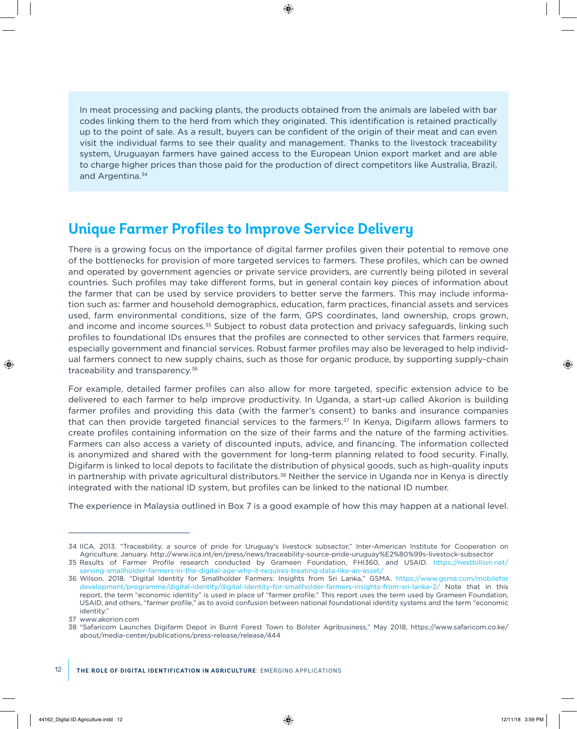<span id="page-19-0"></span>In meat processing and packing plants, the products obtained from the animals are labeled with bar codes linking them to the herd from which they originated. This identification is retained practically up to the point of sale. As a result, buyers can be confident of the origin of their meat and can even visit the individual farms to see their quality and management. Thanks to the livestock traceability system, Uruguayan farmers have gained access to the European Union export market and are able to charge higher prices than those paid for the production of direct competitors like Australia, Brazil, and Argentina.<sup>34</sup>

### **Unique Farmer Profiles to Improve Service Delivery**

There is a growing focus on the importance of digital farmer profiles given their potential to remove one of the bottlenecks for provision of more targeted services to farmers. These profiles, which can be owned and operated by government agencies or private service providers, are currently being piloted in several countries. Such profiles may take different forms, but in general contain key pieces of information about the farmer that can be used by service providers to better serve the farmers. This may include information such as: farmer and household demographics, education, farm practices, financial assets and services used, farm environmental conditions, size of the farm, GPS coordinates, land ownership, crops grown, and income and income sources.<sup>35</sup> Subject to robust data protection and privacy safeguards, linking such profiles to foundational IDs ensures that the profiles are connected to other services that farmers require, especially government and financial services. Robust farmer profiles may also be leveraged to help individual farmers connect to new supply chains, such as those for organic produce, by supporting supply-chain traceability and transparency.<sup>36</sup>

For example, detailed farmer profiles can also allow for more targeted, specific extension advice to be delivered to each farmer to help improve productivity. In Uganda, a start-up called Akorion is building farmer profiles and providing this data (with the farmer's consent) to banks and insurance companies that can then provide targeted financial services to the farmers.<sup>37</sup> In Kenya, Digifarm allows farmers to create profiles containing information on the size of their farms and the nature of the farming activities. Farmers can also access a variety of discounted inputs, advice, and financing. The information collected is anonymized and shared with the government for long-term planning related to food security. Finally, Digifarm is linked to local depots to facilitate the distribution of physical goods, such as high-quality inputs in partnership with private agricultural distributors.<sup>38</sup> Neither the service in Uganda nor in Kenya is directly integrated with the national ID system, but profiles can be linked to the national ID number.

The experience in Malaysia outlined in Box 7 is a good example of how this may happen at a national level.

<sup>34</sup> IICA. 2013. "Traceability, a source of pride for Uruguay's livestock subsector," Inter-American Institute for Cooperation on Agriculture, January.<http://www.iica.int/en/press/news/traceability-source-pride-uruguay%E2%80%99s-livestock-subsector>

<sup>35</sup> Results of Farmer Profile research conducted by Grameen Foundation, FHI360, and USAID. [https://nextbillion.net/](https://nextbillion.net/serving-smallholder-farmers-in-the-digital-age-why-it-requires-treating-data-like-an-asset/) [serving-smallholder-farmers-in-the-digital-age-why-it-requires-treating-data-like-an-asset/](https://nextbillion.net/serving-smallholder-farmers-in-the-digital-age-why-it-requires-treating-data-like-an-asset/)

<sup>36</sup> Wilson. 2018. "Digital Identity for Smallholder Farmers: Insights from Sri Lanka," GSMA. [https://www.gsma.com/mobilefor](https://www.gsma.com/mobilefordevelopment/programme/digital-identity/digital-identity-for-smallholder-farmers-insights-from-sri-lanka-2/) [development/programme/digital-identity/digital-identity-for-smallholder-farmers-insights-from-sri-lanka-2/](https://www.gsma.com/mobilefordevelopment/programme/digital-identity/digital-identity-for-smallholder-farmers-insights-from-sri-lanka-2/) Note that in this report, the term "economic identity" is used in place of "farmer profile." This report uses the term used by Grameen Foundation, USAID, and others, "farmer profile," as to avoid confusion between national foundational identity systems and the term "economic identity."

<sup>37</sup> www.akorion.com

<sup>38</sup> "Safaricom Launches Digifarm Depot in Burnt Forest Town to Bolster Agribusiness," May 2018, https://www.safaricom.co.ke/ about/media-center/publications/press-release/release/444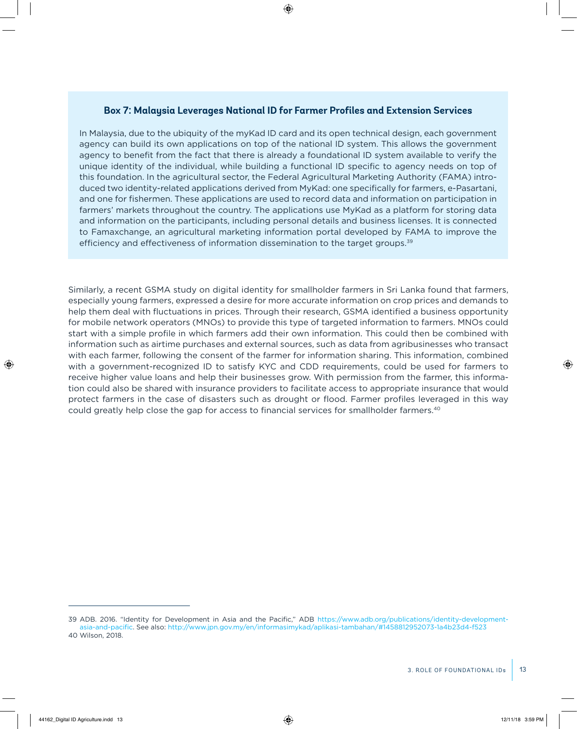#### <span id="page-20-0"></span>**Box 7: Malaysia Leverages National ID for Farmer Profiles and Extension Services**

In Malaysia, due to the ubiquity of the myKad ID card and its open technical design, each government agency can build its own applications on top of the national ID system. This allows the government agency to benefit from the fact that there is already a foundational ID system available to verify the unique identity of the individual, while building a functional ID specific to agency needs on top of this foundation. In the agricultural sector, the Federal Agricultural Marketing Authority (FAMA) introduced two identity-related applications derived from MyKad: one specifically for farmers, e-Pasartani, and one for fishermen. These applications are used to record data and information on participation in farmers' markets throughout the country. The applications use MyKad as a platform for storing data and information on the participants, including personal details and business licenses. It is connected to Famaxchange, an agricultural marketing information portal developed by FAMA to improve the efficiency and effectiveness of information dissemination to the target groups.<sup>39</sup>

Similarly, a recent GSMA study on digital identity for smallholder farmers in Sri Lanka found that farmers, especially young farmers, expressed a desire for more accurate information on crop prices and demands to help them deal with fluctuations in prices. Through their research, GSMA identified a business opportunity for mobile network operators (MNOs) to provide this type of targeted information to farmers. MNOs could start with a simple profile in which farmers add their own information. This could then be combined with information such as airtime purchases and external sources, such as data from agribusinesses who transact with each farmer, following the consent of the farmer for information sharing. This information, combined with a government-recognized ID to satisfy KYC and CDD requirements, could be used for farmers to receive higher value loans and help their businesses grow. With permission from the farmer, this information could also be shared with insurance providers to facilitate access to appropriate insurance that would protect farmers in the case of disasters such as drought or flood. Farmer profiles leveraged in this way could greatly help close the gap for access to financial services for smallholder farmers.<sup>40</sup>

<sup>39</sup> ADB. 2016. "Identity for Development in Asia and the Pacific," ADB [https://www.adb.org/publications/identity-development](https://www.adb.org/publications/identity-development-asia-and-pacific)[asia-and-pacific](https://www.adb.org/publications/identity-development-asia-and-pacific). See also: http://www.jpn.gov.my/en/informasimykad/aplikasi-tambahan/#1458812952073-1a4b23d4-f523 40 Wilson, 2018.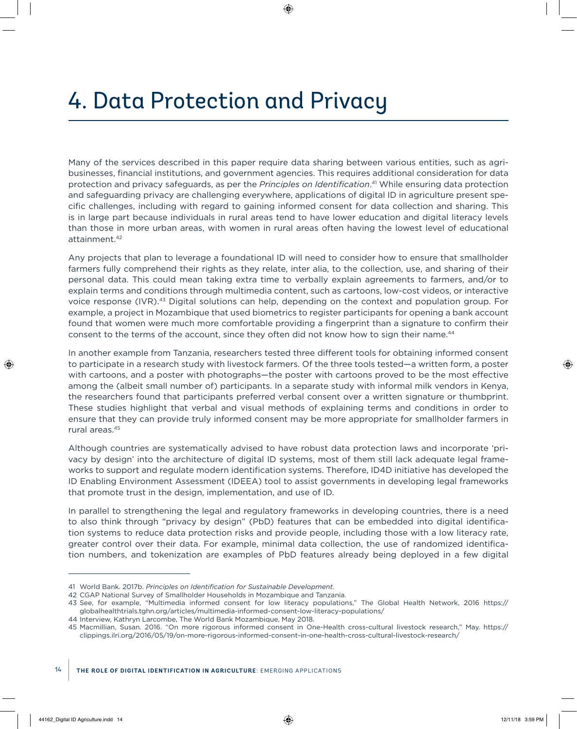# <span id="page-21-0"></span>4. Data Protection and Privacy

Many of the services described in this paper require data sharing between various entities, such as agribusinesses, financial institutions, and government agencies. This requires additional consideration for data protection and privacy safeguards, as per the *Principles on Identification*. 41 While ensuring data protection and safeguarding privacy are challenging everywhere, applications of digital ID in agriculture present specific challenges, including with regard to gaining informed consent for data collection and sharing. This is in large part because individuals in rural areas tend to have lower education and digital literacy levels than those in more urban areas, with women in rural areas often having the lowest level of educational attainment.42

Any projects that plan to leverage a foundational ID will need to consider how to ensure that smallholder farmers fully comprehend their rights as they relate, inter alia, to the collection, use, and sharing of their personal data. This could mean taking extra time to verbally explain agreements to farmers, and/or to explain terms and conditions through multimedia content, such as cartoons, low-cost videos, or interactive voice response (IVR).43 Digital solutions can help, depending on the context and population group. For example, a project in Mozambique that used biometrics to register participants for opening a bank account found that women were much more comfortable providing a fingerprint than a signature to confirm their consent to the terms of the account, since they often did not know how to sign their name.<sup>44</sup>

In another example from Tanzania, researchers tested three different tools for obtaining informed consent to participate in a research study with livestock farmers. Of the three tools tested—a written form, a poster with cartoons, and a poster with photographs—the poster with cartoons proved to be the most effective among the (albeit small number of) participants. In a separate study with informal milk vendors in Kenya, the researchers found that participants preferred verbal consent over a written signature or thumbprint. These studies highlight that verbal and visual methods of explaining terms and conditions in order to ensure that they can provide truly informed consent may be more appropriate for smallholder farmers in rural areas.45

Although countries are systematically advised to have robust data protection laws and incorporate 'privacy by design' into the architecture of digital ID systems, most of them still lack adequate legal frameworks to support and regulate modern identification systems. Therefore, ID4D initiative has developed the [ID Enabling Environment Assessment \(IDEEA\) tool](http://id4d.worldbank.org/tools/legal-assessments) to assist governments in developing legal frameworks that promote trust in the design, implementation, and use of ID.

In parallel to strengthening the legal and regulatory frameworks in developing countries, there is a need to also think through "privacy by design" (PbD) features that can be embedded into digital identification systems to reduce data protection risks and provide people, including those with a low literacy rate, greater control over their data. For example, minimal data collection, the use of randomized identification numbers, and tokenization are examples of PbD features already being deployed in a few digital

<sup>41</sup> World Bank. 2017b. *Principles on Identification for Sustainable Development.*

<sup>42</sup> CGAP National Survey of Smallholder Households in Mozambique and Tanzania.

<sup>43</sup> See, for example, "Multimedia informed consent for low literacy populations," The Global Health Network, 2016 https:// globalhealthtrials.tghn.org/articles/multimedia-informed-consent-low-literacy-populations/

<sup>44</sup> Interview, Kathryn Larcombe, The World Bank Mozambique, May 2018.

<sup>45</sup> Macmillian, Susan. 2016. "On more rigorous informed consent in One-Health cross-cultural livestock research," May. https:// clippings.ilri.org/2016/05/19/on-more-rigorous-informed-consent-in-one-health-cross-cultural-livestock-research/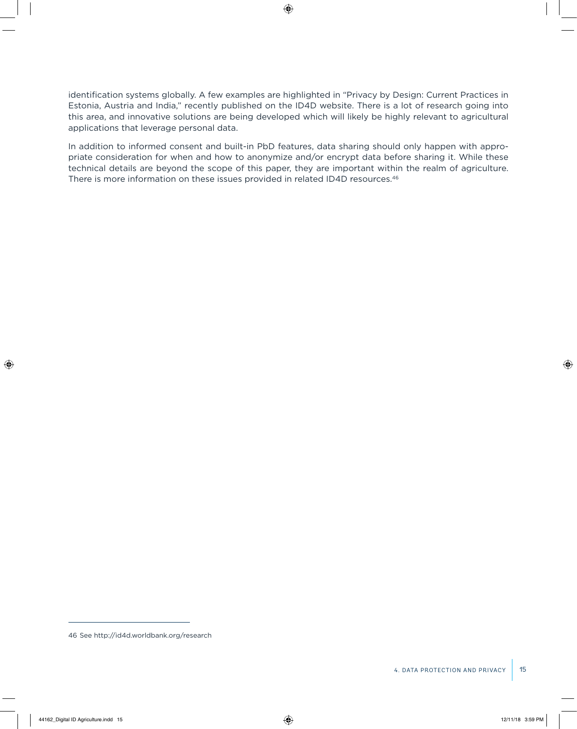identification systems globally. A few examples are highlighted in "Privacy by Design: Current Practices in Estonia, Austria and India," recently published on the ID4D website. There is a lot of research going into this area, and innovative solutions are being developed which will likely be highly relevant to agricultural applications that leverage personal data.

In addition to informed consent and built-in PbD features, data sharing should only happen with appropriate consideration for when and how to anonymize and/or encrypt data before sharing it. While these technical details are beyond the scope of this paper, they are important within the realm of agriculture. There is more information on these issues provided in related ID4D resources.<sup>46</sup>

<sup>46</sup> See http://id4d.worldbank.org/research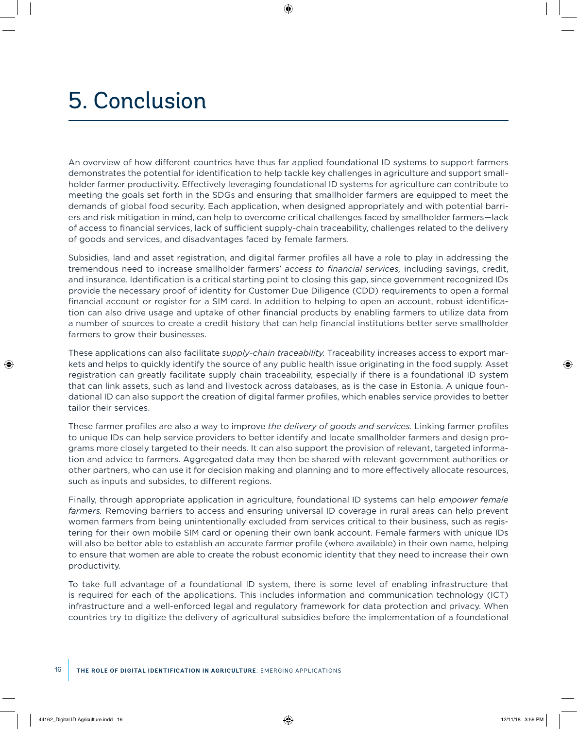## <span id="page-23-0"></span>5. Conclusion

An overview of how different countries have thus far applied foundational ID systems to support farmers demonstrates the potential for identification to help tackle key challenges in agriculture and support smallholder farmer productivity. Effectively leveraging foundational ID systems for agriculture can contribute to meeting the goals set forth in the SDGs and ensuring that smallholder farmers are equipped to meet the demands of global food security. Each application, when designed appropriately and with potential barriers and risk mitigation in mind, can help to overcome critical challenges faced by smallholder farmers—lack of access to financial services, lack of sufficient supply-chain traceability, challenges related to the delivery of goods and services, and disadvantages faced by female farmers.

Subsidies, land and asset registration, and digital farmer profiles all have a role to play in addressing the tremendous need to increase smallholder farmers' *access to financial services,* including savings, credit, and insurance. Identification is a critical starting point to closing this gap, since government recognized IDs provide the necessary proof of identity for Customer Due Diligence (CDD) requirements to open a formal financial account or register for a SIM card. In addition to helping to open an account, robust identification can also drive usage and uptake of other financial products by enabling farmers to utilize data from a number of sources to create a credit history that can help financial institutions better serve smallholder farmers to grow their businesses.

These applications can also facilitate *supply-chain traceability.* Traceability increases access to export markets and helps to quickly identify the source of any public health issue originating in the food supply. Asset registration can greatly facilitate supply chain traceability, especially if there is a foundational ID system that can link assets, such as land and livestock across databases, as is the case in Estonia. A unique foundational ID can also support the creation of digital farmer profiles, which enables service provides to better tailor their services.

These farmer profiles are also a way to improve *the delivery of goods and services.* Linking farmer profiles to unique IDs can help service providers to better identify and locate smallholder farmers and design programs more closely targeted to their needs. It can also support the provision of relevant, targeted information and advice to farmers. Aggregated data may then be shared with relevant government authorities or other partners, who can use it for decision making and planning and to more effectively allocate resources, such as inputs and subsides, to different regions.

Finally, through appropriate application in agriculture, foundational ID systems can help *empower female farmers.* Removing barriers to access and ensuring universal ID coverage in rural areas can help prevent women farmers from being unintentionally excluded from services critical to their business, such as registering for their own mobile SIM card or opening their own bank account. Female farmers with unique IDs will also be better able to establish an accurate farmer profile (where available) in their own name, helping to ensure that women are able to create the robust economic identity that they need to increase their own productivity.

To take full advantage of a foundational ID system, there is some level of enabling infrastructure that is required for each of the applications. This includes information and communication technology (ICT) infrastructure and a well-enforced legal and regulatory framework for data protection and privacy. When countries try to digitize the delivery of agricultural subsidies before the implementation of a foundational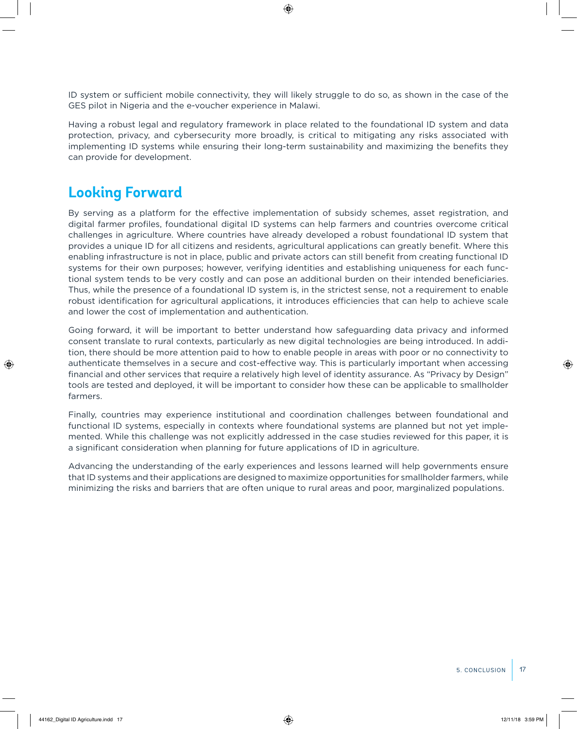<span id="page-24-0"></span>ID system or sufficient mobile connectivity, they will likely struggle to do so, as shown in the case of the GES pilot in Nigeria and the e-voucher experience in Malawi.

Having a robust legal and regulatory framework in place related to the foundational ID system and data protection, privacy, and cybersecurity more broadly, is critical to mitigating any risks associated with implementing ID systems while ensuring their long-term sustainability and maximizing the benefits they can provide for development.

### **Looking Forward**

By serving as a platform for the effective implementation of subsidy schemes, asset registration, and digital farmer profiles, foundational digital ID systems can help farmers and countries overcome critical challenges in agriculture. Where countries have already developed a robust foundational ID system that provides a unique ID for all citizens and residents, agricultural applications can greatly benefit. Where this enabling infrastructure is not in place, public and private actors can still benefit from creating functional ID systems for their own purposes; however, verifying identities and establishing uniqueness for each functional system tends to be very costly and can pose an additional burden on their intended beneficiaries. Thus, while the presence of a foundational ID system is, in the strictest sense, not a requirement to enable robust identification for agricultural applications, it introduces efficiencies that can help to achieve scale and lower the cost of implementation and authentication.

Going forward, it will be important to better understand how safeguarding data privacy and informed consent translate to rural contexts, particularly as new digital technologies are being introduced. In addition, there should be more attention paid to how to enable people in areas with poor or no connectivity to authenticate themselves in a secure and cost-effective way. This is particularly important when accessing financial and other services that require a relatively high level of identity assurance. As "Privacy by Design" tools are tested and deployed, it will be important to consider how these can be applicable to smallholder farmers.

Finally, countries may experience institutional and coordination challenges between foundational and functional ID systems, especially in contexts where foundational systems are planned but not yet implemented. While this challenge was not explicitly addressed in the case studies reviewed for this paper, it is a significant consideration when planning for future applications of ID in agriculture.

Advancing the understanding of the early experiences and lessons learned will help governments ensure that ID systems and their applications are designed to maximize opportunities for smallholder farmers, while minimizing the risks and barriers that are often unique to rural areas and poor, marginalized populations.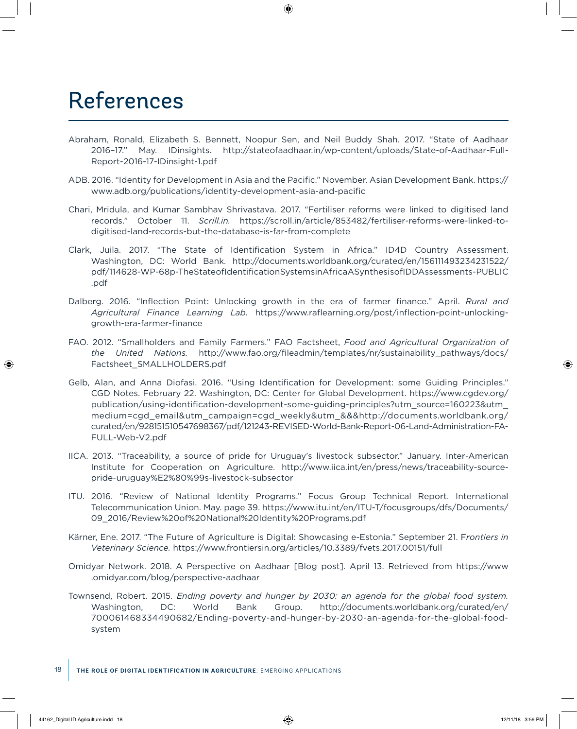## <span id="page-25-0"></span>References

- Abraham, Ronald, Elizabeth S. Bennett, Noopur Sen, and Neil Buddy Shah. 2017. "State of Aadhaar 2016–17." May. IDinsights. [http://stateofaadhaar.in/wp-content/uploads/State-of-Aadhaar-Full-](http://stateofaadhaar.in/wp-content/uploads/State-of-Aadhaar-Full-Report-2016-17-IDinsight-1.pdf)[Report-2016-17-IDinsight-1.pdf](http://stateofaadhaar.in/wp-content/uploads/State-of-Aadhaar-Full-Report-2016-17-IDinsight-1.pdf)
- ADB. 2016. "Identity for Development in Asia and the Pacific." November. Asian Development Bank. [https://](https://www.adb.org/publications/identity-development-asia-and-pacific) [www.adb.org/publications/identity-development-asia-and-pacific](https://www.adb.org/publications/identity-development-asia-and-pacific)
- Chari, Mridula, and Kumar Sambhav Shrivastava. 2017. "Fertiliser reforms were linked to digitised land records." October 11. *Scrill.in.* [https://scroll.in/article/853482/fertiliser-reforms-were-linked-to](https://scroll.in/article/853482/fertiliser-reforms-were-linked-to-digitised-land-records-but-the-database-is-far-from-complete)[digitised-land-records-but-the-database-is-far-from-complete](https://scroll.in/article/853482/fertiliser-reforms-were-linked-to-digitised-land-records-but-the-database-is-far-from-complete)
- Clark, Juila. 2017. "The State of Identification System in Africa." ID4D Country Assessment. Washington, DC: World Bank. [http://documents.worldbank.org/curated/en/156111493234231522/](http://documents.worldbank.org/curated/en/156111493234231522/pdf/114628-WP-68p-TheStateofIdentificationSystemsinAfricaASynthesisofIDDAssessments-PUBLIC.pdf) [pdf/114628-WP-68p-TheStateofIdentificationSystemsinAfricaASynthesisofIDDAssessments-PUBLIC](http://documents.worldbank.org/curated/en/156111493234231522/pdf/114628-WP-68p-TheStateofIdentificationSystemsinAfricaASynthesisofIDDAssessments-PUBLIC.pdf) [.pdf](http://documents.worldbank.org/curated/en/156111493234231522/pdf/114628-WP-68p-TheStateofIdentificationSystemsinAfricaASynthesisofIDDAssessments-PUBLIC.pdf)
- Dalberg. 2016. "Inflection Point: Unlocking growth in the era of farmer finance." April. *Rural and Agricultural Finance Learning Lab.* [https://www.raflearning.org/post/inflection-point-unlocking](https://www.raflearning.org/post/inflection-point-unlocking-growth-era-farmer-finance)[growth-era-farmer-finance](https://www.raflearning.org/post/inflection-point-unlocking-growth-era-farmer-finance)
- FAO. 2012. "Smallholders and Family Farmers." FAO Factsheet, *Food and Agricultural Organization of the United Nations.* [http://www.fao.org/fileadmin/templates/nr/sustainability\\_pathways/docs/](http://www.fao.org/fileadmin/templates/nr/sustainability_pathways/docs/Factsheet_SMALLHOLDERS.pdf) [Factsheet\\_SMALLHOLDERS.pdf](http://www.fao.org/fileadmin/templates/nr/sustainability_pathways/docs/Factsheet_SMALLHOLDERS.pdf)
- Gelb, Alan, and Anna Diofasi. 2016. "Using Identification for Development: some Guiding Principles." CGD Notes. February 22. Washington, DC: Center for Global Development. [https://www.cgdev.org/](https://www.cgdev.org/publication/using-identification-development-some-guiding-principles?utm_source=160223&utm_medium=cgd_email&utm_campaign=cgd_weekly&utm_&&&) [publication/using-identification-development-some-guiding-principles?utm\\_source=160223&utm\\_](https://www.cgdev.org/publication/using-identification-development-some-guiding-principles?utm_source=160223&utm_medium=cgd_email&utm_campaign=cgd_weekly&utm_&&&) [medium=cgd\\_email&utm\\_campaign=cgd\\_weekly&utm\\_&&&](https://www.cgdev.org/publication/using-identification-development-some-guiding-principles?utm_source=160223&utm_medium=cgd_email&utm_campaign=cgd_weekly&utm_&&&)[http://documents.worldbank.org/](http://documents.worldbank.org/curated/en/928151510547698367/pdf/121243-REVISED-World-Bank-Report-06-Land-Administration-FA-FULL-Web-V2.pdf) [curated/en/928151510547698367/pdf/121243-REVISED-World-Bank-Report-06-Land-Administration-FA-](http://documents.worldbank.org/curated/en/928151510547698367/pdf/121243-REVISED-World-Bank-Report-06-Land-Administration-FA-FULL-Web-V2.pdf)[FULL-Web-V2.pdf](http://documents.worldbank.org/curated/en/928151510547698367/pdf/121243-REVISED-World-Bank-Report-06-Land-Administration-FA-FULL-Web-V2.pdf)
- IICA. 2013. "Traceability, a source of pride for Uruguay's livestock subsector." January. Inter-American Institute for Cooperation on Agriculture. [http://www.iica.int/en/press/news/traceability-source](http://www.iica.int/en/press/news/traceability-source-pride-uruguay%E2%80%99s-livestock-subsector)[pride-uruguay%E2%80%99s-livestock-subsector](http://www.iica.int/en/press/news/traceability-source-pride-uruguay%E2%80%99s-livestock-subsector)
- ITU. 2016. "Review of National Identity Programs." Focus Group Technical Report. International Telecommunication Union. May. page 39. [https://www.itu.int/en/ITU-T/focusgroups/dfs/Documents/](https://www.itu.int/en/ITU-T/focusgroups/dfs/Documents/09_2016/Review%20of%20National%20Identity%20Programs.pdf) [09\\_2016/Review%20of%20National%20Identity%20Programs.pdf](https://www.itu.int/en/ITU-T/focusgroups/dfs/Documents/09_2016/Review%20of%20National%20Identity%20Programs.pdf)
- Kärner, Ene. 2017. "The Future of Agriculture is Digital: Showcasing e-Estonia." September 21. F*rontiers in Veterinary Science.*<https://www.frontiersin.org/articles/10.3389/fvets.2017.00151/full>
- Omidyar Network. 2018. A Perspective on Aadhaar [Blog post]. April 13. Retrieved from [https://www](https://www.omidyar.com/blog/perspective-aadhaar) [.omidyar.com/blog/perspective-aadhaar](https://www.omidyar.com/blog/perspective-aadhaar)
- Townsend, Robert. 2015. *Ending poverty and hunger by 2030: an agenda for the global food system.*  Washington, DC: World Bank Group. [http://documents.worldbank.org/curated/en/](http://documents.worldbank.org/curated/en/700061468334490682/Ending-poverty-and-hunger-by-2030-an-agenda-for-the-global-food-system) [700061468334490682/Ending-poverty-and-hunger-by-2030-an-agenda-for-the-global-food](http://documents.worldbank.org/curated/en/700061468334490682/Ending-poverty-and-hunger-by-2030-an-agenda-for-the-global-food-system)[system](http://documents.worldbank.org/curated/en/700061468334490682/Ending-poverty-and-hunger-by-2030-an-agenda-for-the-global-food-system)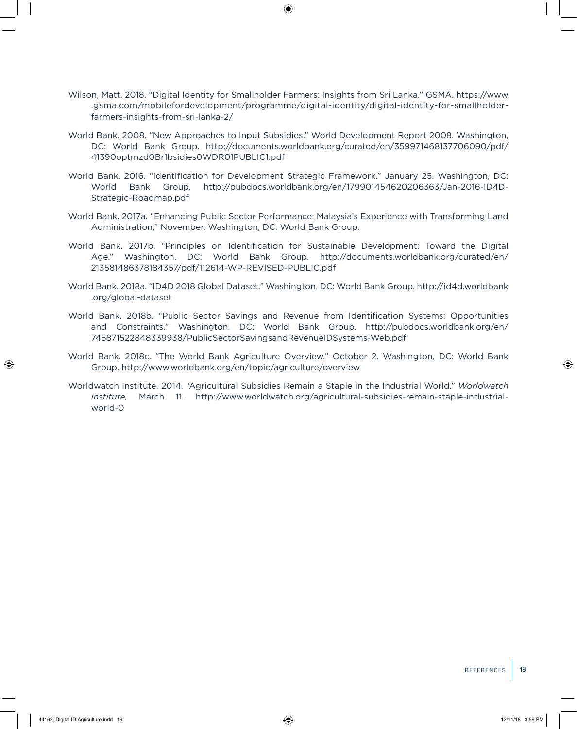- Wilson, Matt. 2018. "Digital Identity for Smallholder Farmers: Insights from Sri Lanka." GSMA. [https://www](https://www.gsma.com/mobilefordevelopment/programme/digital-identity/digital-identity-for-smallholder-farmers-insights-from-sri-lanka-2/) [.gsma.com/mobilefordevelopment/programme/digital-identity/digital-identity-for-smallholder](https://www.gsma.com/mobilefordevelopment/programme/digital-identity/digital-identity-for-smallholder-farmers-insights-from-sri-lanka-2/)[farmers-insights-from-sri-lanka-2/](https://www.gsma.com/mobilefordevelopment/programme/digital-identity/digital-identity-for-smallholder-farmers-insights-from-sri-lanka-2/)
- World Bank. 2008. "New Approaches to Input Subsidies." World Development Report 2008. Washington, DC: World Bank Group. [http://documents.worldbank.org/curated/en/359971468137706090/pdf/](http://documents.worldbank.org/curated/en/359971468137706090/pdf/41390optmzd0Br1bsidies0WDR01PUBLIC1.pdf) [41390optmzd0Br1bsidies0WDR01PUBLIC1.pdf](http://documents.worldbank.org/curated/en/359971468137706090/pdf/41390optmzd0Br1bsidies0WDR01PUBLIC1.pdf)
- World Bank. 2016. "Identification for Development Strategic Framework." January 25. Washington, DC: World Bank Group. [http://pubdocs.worldbank.org/en/179901454620206363/Jan-2016-ID4D-](http://pubdocs.worldbank.org/en/179901454620206363/Jan-2016-ID4D-Strategic-Roadmap.pdf)[Strategic-Roadmap.pdf](http://pubdocs.worldbank.org/en/179901454620206363/Jan-2016-ID4D-Strategic-Roadmap.pdf)
- World Bank. 2017a. "Enhancing Public Sector Performance: Malaysia's Experience with Transforming Land Administration," November. Washington, DC: World Bank Group.
- World Bank. 2017b. "Principles on Identification for Sustainable Development: Toward the Digital Age." Washington, DC: World Bank Group. [http://documents.worldbank.org/curated/en/](http://documents.worldbank.org/curated/en/213581486378184357/pdf/112614-WP-REVISED-PUBLIC.pdf) [213581486378184357/pdf/112614-WP-REVISED-PUBLIC.pdf](http://documents.worldbank.org/curated/en/213581486378184357/pdf/112614-WP-REVISED-PUBLIC.pdf)
- World Bank. 2018a. "ID4D 2018 Global Dataset." Washington, DC: World Bank Group. [http://id4d.worldbank](http://id4d.worldbank.org/global-dataset) [.org/global-dataset](http://id4d.worldbank.org/global-dataset)
- World Bank. 2018b. "Public Sector Savings and Revenue from Identification Systems: Opportunities and Constraints." Washington, DC: World Bank Group. [http://pubdocs.worldbank.org/en/](http://pubdocs.worldbank.org/en/745871522848339938/PublicSectorSavingsandRevenueIDSystems-Web.pdf) [745871522848339938/PublicSectorSavingsandRevenueIDSystems-Web.pdf](http://pubdocs.worldbank.org/en/745871522848339938/PublicSectorSavingsandRevenueIDSystems-Web.pdf)
- World Bank. 2018c. "The World Bank Agriculture Overview." October 2. Washington, DC: World Bank Group.<http://www.worldbank.org/en/topic/agriculture/overview>
- Worldwatch Institute. 2014. "Agricultural Subsidies Remain a Staple in the Industrial World." *Worldwatch Institute,* March 11. [http://www.worldwatch.org/agricultural-subsidies-remain-staple-industrial](http://www.worldwatch.org/agricultural-subsidies-remain-staple-industrial-world-0)[world-0](http://www.worldwatch.org/agricultural-subsidies-remain-staple-industrial-world-0)